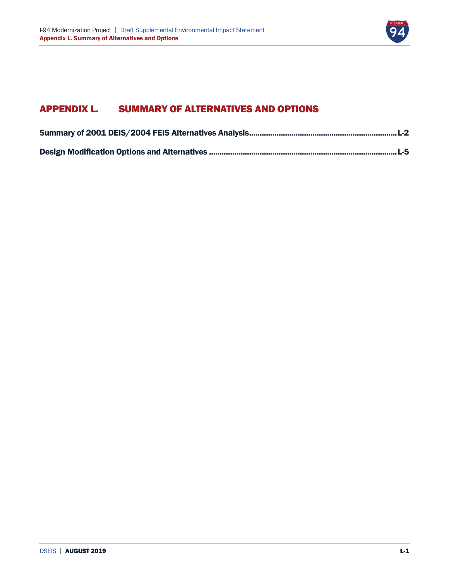

## APPENDIX L. SUMMARY OF ALTERNATIVES AND OPTIONS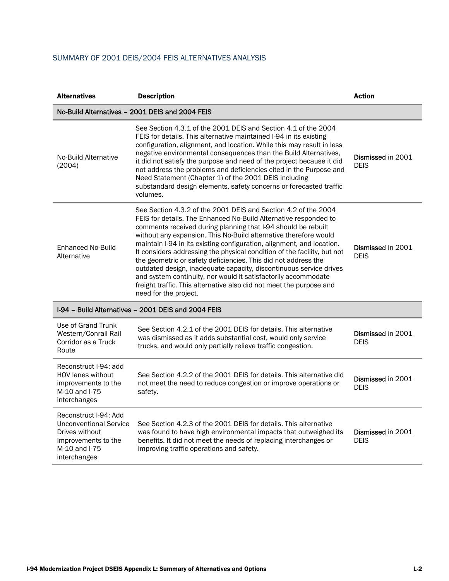## <span id="page-1-0"></span>SUMMARY OF 2001 DEIS/2004 FEIS ALTERNATIVES ANALYSIS

| <b>Alternatives</b>                                                                                                                                                                                                                                                                                                                                                                                                                                                                                                                                                                                           | <b>Description</b>                                                                                                                                                                                                                                                                                                                                                                                                                                                                                                                                                                                                                                                                                                                    | <b>Action</b>                    |
|---------------------------------------------------------------------------------------------------------------------------------------------------------------------------------------------------------------------------------------------------------------------------------------------------------------------------------------------------------------------------------------------------------------------------------------------------------------------------------------------------------------------------------------------------------------------------------------------------------------|---------------------------------------------------------------------------------------------------------------------------------------------------------------------------------------------------------------------------------------------------------------------------------------------------------------------------------------------------------------------------------------------------------------------------------------------------------------------------------------------------------------------------------------------------------------------------------------------------------------------------------------------------------------------------------------------------------------------------------------|----------------------------------|
|                                                                                                                                                                                                                                                                                                                                                                                                                                                                                                                                                                                                               | No-Build Alternatives - 2001 DEIS and 2004 FEIS                                                                                                                                                                                                                                                                                                                                                                                                                                                                                                                                                                                                                                                                                       |                                  |
| See Section 4.3.1 of the 2001 DEIS and Section 4.1 of the 2004<br>FEIS for details. This alternative maintained I-94 in its existing<br>configuration, alignment, and location. While this may result in less<br>negative environmental consequences than the Build Alternatives,<br>No-Build Alternative<br>it did not satisfy the purpose and need of the project because it did<br>(2004)<br>not address the problems and deficiencies cited in the Purpose and<br>Need Statement (Chapter 1) of the 2001 DEIS including<br>substandard design elements, safety concerns or forecasted traffic<br>volumes. |                                                                                                                                                                                                                                                                                                                                                                                                                                                                                                                                                                                                                                                                                                                                       | Dismissed in 2001<br><b>DEIS</b> |
| Enhanced No-Build<br>Alternative                                                                                                                                                                                                                                                                                                                                                                                                                                                                                                                                                                              | See Section 4.3.2 of the 2001 DEIS and Section 4.2 of the 2004<br>FEIS for details. The Enhanced No-Build Alternative responded to<br>comments received during planning that I-94 should be rebuilt<br>without any expansion. This No-Build alternative therefore would<br>maintain I-94 in its existing configuration, alignment, and location.<br>It considers addressing the physical condition of the facility, but not<br>the geometric or safety deficiencies. This did not address the<br>outdated design, inadequate capacity, discontinuous service drives<br>and system continuity, nor would it satisfactorily accommodate<br>freight traffic. This alternative also did not meet the purpose and<br>need for the project. | Dismissed in 2001<br><b>DEIS</b> |
|                                                                                                                                                                                                                                                                                                                                                                                                                                                                                                                                                                                                               | I-94 - Build Alternatives - 2001 DEIS and 2004 FEIS                                                                                                                                                                                                                                                                                                                                                                                                                                                                                                                                                                                                                                                                                   |                                  |
| Use of Grand Trunk<br>Western/Conrail Rail<br>Corridor as a Truck<br>Route                                                                                                                                                                                                                                                                                                                                                                                                                                                                                                                                    | See Section 4.2.1 of the 2001 DEIS for details. This alternative<br>was dismissed as it adds substantial cost, would only service<br>trucks, and would only partially relieve traffic congestion.                                                                                                                                                                                                                                                                                                                                                                                                                                                                                                                                     | Dismissed in 2001<br><b>DEIS</b> |
| Reconstruct I-94: add<br><b>HOV lanes without</b><br>improvements to the<br>M-10 and I-75<br>interchanges                                                                                                                                                                                                                                                                                                                                                                                                                                                                                                     | See Section 4.2.2 of the 2001 DEIS for details. This alternative did<br>not meet the need to reduce congestion or improve operations or<br>safety.                                                                                                                                                                                                                                                                                                                                                                                                                                                                                                                                                                                    | Dismissed in 2001<br><b>DEIS</b> |
| Reconstruct I-94: Add<br><b>Unconventional Service</b><br>Drives without<br>Improvements to the<br>M-10 and I-75<br>interchanges                                                                                                                                                                                                                                                                                                                                                                                                                                                                              | See Section 4.2.3 of the 2001 DEIS for details. This alternative<br>was found to have high environmental impacts that outweighed its<br>benefits. It did not meet the needs of replacing interchanges or<br>improving traffic operations and safety.                                                                                                                                                                                                                                                                                                                                                                                                                                                                                  | Dismissed in 2001<br><b>DEIS</b> |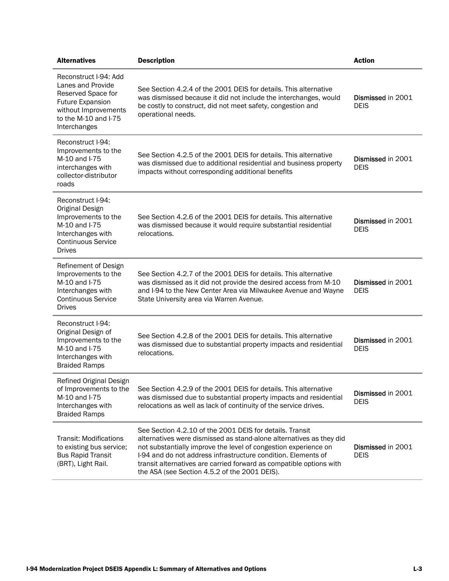| <b>Alternatives</b>                                                                                                                                         | <b>Description</b>                                                                                                                                                                                                                                                                                                                                                                          | <b>Action</b>                    |
|-------------------------------------------------------------------------------------------------------------------------------------------------------------|---------------------------------------------------------------------------------------------------------------------------------------------------------------------------------------------------------------------------------------------------------------------------------------------------------------------------------------------------------------------------------------------|----------------------------------|
| Reconstruct I-94: Add<br>Lanes and Provide<br>Reserved Space for<br><b>Future Expansion</b><br>without Improvements<br>to the M-10 and I-75<br>Interchanges | See Section 4.2.4 of the 2001 DEIS for details. This alternative<br>was dismissed because it did not include the interchanges, would<br>be costly to construct, did not meet safety, congestion and<br>operational needs.                                                                                                                                                                   | Dismissed in 2001<br><b>DEIS</b> |
| Reconstruct I-94:<br>Improvements to the<br>M-10 and I-75<br>interchanges with<br>collector-distributor<br>roads                                            | See Section 4.2.5 of the 2001 DEIS for details. This alternative<br>was dismissed due to additional residential and business property<br>impacts without corresponding additional benefits                                                                                                                                                                                                  | Dismissed in 2001<br><b>DEIS</b> |
| Reconstruct I-94:<br>Original Design<br>Improvements to the<br>M-10 and I-75<br>Interchanges with<br>Continuous Service<br><b>Drives</b>                    | See Section 4.2.6 of the 2001 DEIS for details. This alternative<br>was dismissed because it would require substantial residential<br>relocations.                                                                                                                                                                                                                                          | Dismissed in 2001<br><b>DEIS</b> |
| Refinement of Design<br>Improvements to the<br>M-10 and I-75<br>Interchanges with<br><b>Continuous Service</b><br><b>Drives</b>                             | See Section 4.2.7 of the 2001 DEIS for details. This alternative<br>was dismissed as it did not provide the desired access from M-10<br>and I-94 to the New Center Area via Milwaukee Avenue and Wayne<br>State University area via Warren Avenue.                                                                                                                                          | Dismissed in 2001<br><b>DEIS</b> |
| Reconstruct I-94:<br>Original Design of<br>Improvements to the<br>M-10 and I-75<br>Interchanges with<br><b>Braided Ramps</b>                                | See Section 4.2.8 of the 2001 DEIS for details. This alternative<br>was dismissed due to substantial property impacts and residential<br>relocations.                                                                                                                                                                                                                                       | Dismissed in 2001<br><b>DEIS</b> |
| Refined Original Design<br>of Improvements to the<br>M-10 and I-75<br>Interchanges with<br><b>Braided Ramps</b>                                             | See Section 4.2.9 of the 2001 DEIS for details. This alternative<br>was dismissed due to substantial property impacts and residential<br>relocations as well as lack of continuity of the service drives.                                                                                                                                                                                   | Dismissed in 2001<br><b>DEIS</b> |
| <b>Transit: Modifications</b><br>to existing bus service;<br><b>Bus Rapid Transit</b><br>(BRT), Light Rail.                                                 | See Section 4.2.10 of the 2001 DEIS for details. Transit<br>alternatives were dismissed as stand-alone alternatives as they did<br>not substantially improve the level of congestion experience on<br>I-94 and do not address infrastructure condition. Elements of<br>transit alternatives are carried forward as compatible options with<br>the ASA (see Section 4.5.2 of the 2001 DEIS). | Dismissed in 2001<br><b>DEIS</b> |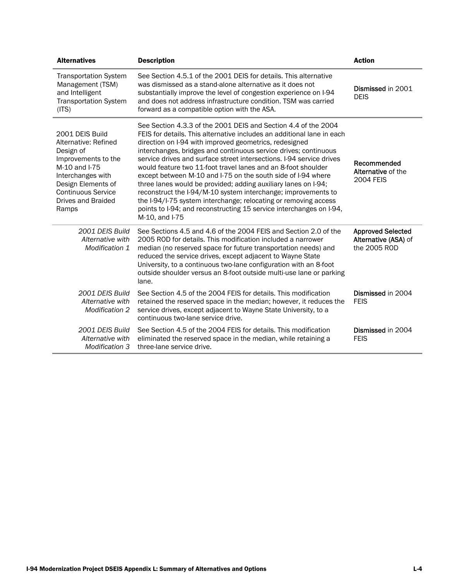| <b>Alternatives</b>                                                                                                                                                                                 | <b>Description</b>                                                                                                                                                                                                                                                                                                                                                                                                                                                                                                                                                                                                                                                                                                                                                            | <b>Action</b>                                                    |
|-----------------------------------------------------------------------------------------------------------------------------------------------------------------------------------------------------|-------------------------------------------------------------------------------------------------------------------------------------------------------------------------------------------------------------------------------------------------------------------------------------------------------------------------------------------------------------------------------------------------------------------------------------------------------------------------------------------------------------------------------------------------------------------------------------------------------------------------------------------------------------------------------------------------------------------------------------------------------------------------------|------------------------------------------------------------------|
| <b>Transportation System</b><br>Management (TSM)<br>and Intelligent<br><b>Transportation System</b><br>(ITS)                                                                                        | See Section 4.5.1 of the 2001 DEIS for details. This alternative<br>was dismissed as a stand-alone alternative as it does not<br>substantially improve the level of congestion experience on I-94<br>and does not address infrastructure condition. TSM was carried<br>forward as a compatible option with the ASA.                                                                                                                                                                                                                                                                                                                                                                                                                                                           | Dismissed in 2001<br><b>DEIS</b>                                 |
| 2001 DEIS Build<br>Alternative: Refined<br>Design of<br>Improvements to the<br>M-10 and I-75<br>Interchanges with<br>Design Elements of<br><b>Continuous Service</b><br>Drives and Braided<br>Ramps | See Section 4.3.3 of the 2001 DEIS and Section 4.4 of the 2004<br>FEIS for details. This alternative includes an additional lane in each<br>direction on I-94 with improved geometrics, redesigned<br>interchanges, bridges and continuous service drives; continuous<br>service drives and surface street intersections. I-94 service drives<br>would feature two 11-foot travel lanes and an 8-foot shoulder<br>except between M-10 and I-75 on the south side of I-94 where<br>three lanes would be provided; adding auxiliary lanes on I-94;<br>reconstruct the I-94/M-10 system interchange; improvements to<br>the I-94/I-75 system interchange; relocating or removing access<br>points to I-94; and reconstructing 15 service interchanges on I-94,<br>M-10, and I-75 | Recommended<br>Alternative of the<br><b>2004 FEIS</b>            |
| 2001 DEIS Build<br>Alternative with<br>Modification 1                                                                                                                                               | See Sections 4.5 and 4.6 of the 2004 FEIS and Section 2.0 of the<br>2005 ROD for details. This modification included a narrower<br>median (no reserved space for future transportation needs) and<br>reduced the service drives, except adjacent to Wayne State<br>University, to a continuous two-lane configuration with an 8-foot<br>outside shoulder versus an 8-foot outside multi-use lane or parking<br>lane.                                                                                                                                                                                                                                                                                                                                                          | <b>Approved Selected</b><br>Alternative (ASA) of<br>the 2005 ROD |
| 2001 DEIS Build<br>Alternative with<br><b>Modification 2</b>                                                                                                                                        | See Section 4.5 of the 2004 FEIS for details. This modification<br>retained the reserved space in the median; however, it reduces the<br>service drives, except adjacent to Wayne State University, to a<br>continuous two-lane service drive.                                                                                                                                                                                                                                                                                                                                                                                                                                                                                                                                | Dismissed in 2004<br><b>FEIS</b>                                 |
| 2001 DEIS Build<br>Alternative with<br>Modification 3                                                                                                                                               | See Section 4.5 of the 2004 FEIS for details. This modification<br>eliminated the reserved space in the median, while retaining a<br>three-lane service drive.                                                                                                                                                                                                                                                                                                                                                                                                                                                                                                                                                                                                                | Dismissed in 2004<br><b>FEIS</b>                                 |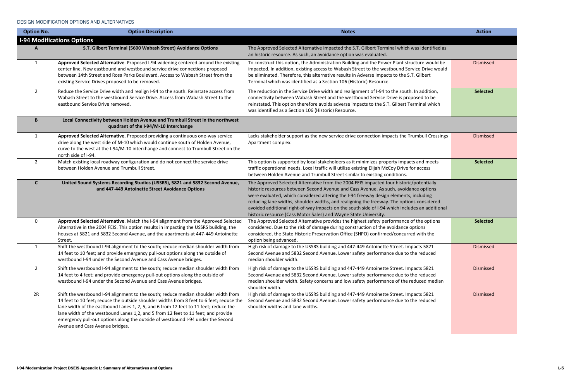## <span id="page-4-0"></span>DESIGN MODIFICATION OPTIONS AND ALTERNATIVES

| <b>Option No.</b> | <b>Option Description</b>                                                                                                                                                                                                                                                                                                                                                                                                                                                         | <b>Notes</b>                                                                                                                                                                                                                                                                                                                                                                                                                                                                                                                                | <b>Action</b>   |
|-------------------|-----------------------------------------------------------------------------------------------------------------------------------------------------------------------------------------------------------------------------------------------------------------------------------------------------------------------------------------------------------------------------------------------------------------------------------------------------------------------------------|---------------------------------------------------------------------------------------------------------------------------------------------------------------------------------------------------------------------------------------------------------------------------------------------------------------------------------------------------------------------------------------------------------------------------------------------------------------------------------------------------------------------------------------------|-----------------|
|                   | <b>I-94 Modifications Options</b>                                                                                                                                                                                                                                                                                                                                                                                                                                                 |                                                                                                                                                                                                                                                                                                                                                                                                                                                                                                                                             |                 |
|                   | S.T. Gilbert Terminal (5600 Wabash Street) Avoidance Options                                                                                                                                                                                                                                                                                                                                                                                                                      | The Approved Selected Alternative impacted the S.T. Gilbert Terminal which was identified as<br>an historic resource. As such, an avoidance option was evaluated.                                                                                                                                                                                                                                                                                                                                                                           |                 |
| 1                 | Approved Selected Alternative. Proposed I-94 widening centered around the existing<br>center line. New eastbound and westbound service drive connections proposed<br>between 14th Street and Rosa Parks Boulevard. Access to Wabash Street from the<br>existing Service Drives proposed to be removed.                                                                                                                                                                            | To construct this option, the Administration Building and the Power Plant structure would be<br>impacted. In addition, existing access to Wabash Street to the westbound Service Drive would<br>be eliminated. Therefore, this alternative results in Adverse Impacts to the S.T. Gilbert<br>Terminal which was identified as a Section 106 (Historic) Resource.                                                                                                                                                                            | Dismissed       |
| $\overline{2}$    | Reduce the Service Drive width and realign I-94 to the south. Reinstate access from<br>Wabash Street to the westbound Service Drive. Access from Wabash Street to the<br>eastbound Service Drive removed.                                                                                                                                                                                                                                                                         | The reduction in the Service Drive width and realignment of I-94 to the south. In addition,<br>connectivity between Wabash Street and the westbound Service Drive is proposed to be<br>reinstated. This option therefore avoids adverse impacts to the S.T. Gilbert Terminal which<br>was identified as a Section 106 (Historic) Resource.                                                                                                                                                                                                  | <b>Selected</b> |
| B                 | Local Connectivity between Holden Avenue and Trumbull Street in the northwest<br>quadrant of the I-94/M-10 Interchange                                                                                                                                                                                                                                                                                                                                                            |                                                                                                                                                                                                                                                                                                                                                                                                                                                                                                                                             |                 |
| 1                 | Approved Selected Alternative. Proposed providing a continuous one-way service<br>drive along the west side of M-10 which would continue south of Holden Avenue,<br>curve to the west at the I-94/M-10 interchange and connect to Trumbull Street on the<br>north side of I-94.                                                                                                                                                                                                   | Lacks stakeholder support as the new service drive connection impacts the Trumbull Crossings<br>Apartment complex.                                                                                                                                                                                                                                                                                                                                                                                                                          | Dismissed       |
| $2^{\circ}$       | Match existing local roadway configuration and do not connect the service drive<br>between Holden Avenue and Trumbull Street.                                                                                                                                                                                                                                                                                                                                                     | This option is supported by local stakeholders as it minimizes property impacts and meets<br>traffic operational needs. Local traffic will utilize existing Elijah McCoy Drive for access<br>between Holden Avenue and Trumbull Street similar to existing conditions.                                                                                                                                                                                                                                                                      | <b>Selected</b> |
| C                 | United Sound Systems Recording Studios (USSRS), 5821 and 5832 Second Avenue,<br>and 447-449 Antoinette Street Avoidance Options                                                                                                                                                                                                                                                                                                                                                   | The Approved Selected Alternative from the 2004 FEIS impacted four historic/potentially<br>historic resources between Second Avenue and Cass Avenue. As such, avoidance options<br>were evaluated, which considered altering the I-94 freeway design elements, including<br>reducing lane widths, shoulder widths, and realigning the freeway. The options considered<br>avoided additional right-of-way impacts on the south side of I-94 which includes an additional<br>historic resource (Cass Motor Sales) and Wayne State University. |                 |
| $\mathbf{0}$      | Approved Selected Alternative. Match the I-94 alignment from the Approved Selected<br>Alternative in the 2004 FEIS. This option results in impacting the USSRS building, the<br>houses at 5821 and 5832 Second Avenue, and the apartments at 447-449 Antoinette<br>Street.                                                                                                                                                                                                        | The Approved Selected Alternative provides the highest safety performance of the options<br>considered. Due to the risk of damage during construction of the avoidance options<br>considered, the State Historic Preservation Office (SHPO) confirmed/concurred with the<br>option being advanced.                                                                                                                                                                                                                                          | <b>Selected</b> |
| 1                 | Shift the westbound I-94 alignment to the south; reduce median shoulder width from<br>14 feet to 10 feet; and provide emergency pull-out options along the outside of<br>westbound I-94 under the Second Avenue and Cass Avenue bridges.                                                                                                                                                                                                                                          | High risk of damage to the USSRS building and 447-449 Antoinette Street. Impacts 5821<br>Second Avenue and 5832 Second Avenue. Lower safety performance due to the reduced<br>median shoulder width.                                                                                                                                                                                                                                                                                                                                        | Dismissed       |
| $\overline{2}$    | Shift the westbound I-94 alignment to the south; reduce median shoulder width from<br>14 feet to 4 feet; and provide emergency pull-out options along the outside of<br>westbound I-94 under the Second Avenue and Cass Avenue bridges.                                                                                                                                                                                                                                           | High risk of damage to the USSRS building and 447-449 Antoinette Street. Impacts 5821<br>Second Avenue and 5832 Second Avenue. Lower safety performance due to the reduced<br>median shoulder width. Safety concerns and low safety performance of the reduced median<br>shoulder width.                                                                                                                                                                                                                                                    | Dismissed       |
| 2R                | Shift the westbound I-94 alignment to the south; reduce median shoulder width from<br>14 feet to 10 feet; reduce the outside shoulder widths from 8 feet to 6 feet; reduce the<br>lane width of the eastbound Lanes 1, 2, 5, and 6 from 12 feet to 11 feet; reduce the<br>lane width of the westbound Lanes 1,2, and 5 from 12 feet to 11 feet; and provide<br>emergency pull-out options along the outside of westbound I-94 under the Second<br>Avenue and Cass Avenue bridges. | High risk of damage to the USSRS building and 447-449 Antoinette Street. Impacts 5821<br>Second Avenue and 5832 Second Avenue. Lower safety performance due to the reduced<br>shoulder widths and lane widths.                                                                                                                                                                                                                                                                                                                              | Dismissed       |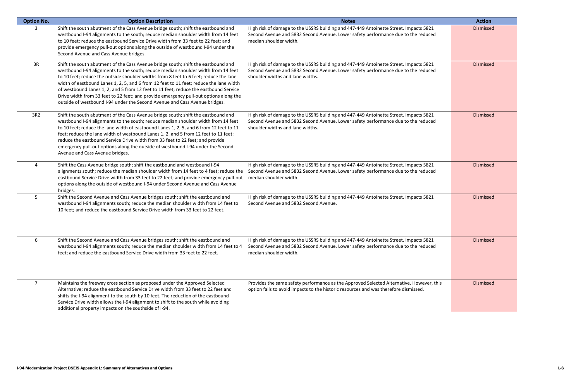| <b>Option No.</b> | <b>Option Description</b>                                                                                                                                                                                                                                                                                                                                                                                                                                                                                                                                                                                                | <b>Notes</b>                                                                                                                                                                                                   | <b>Action</b>    |
|-------------------|--------------------------------------------------------------------------------------------------------------------------------------------------------------------------------------------------------------------------------------------------------------------------------------------------------------------------------------------------------------------------------------------------------------------------------------------------------------------------------------------------------------------------------------------------------------------------------------------------------------------------|----------------------------------------------------------------------------------------------------------------------------------------------------------------------------------------------------------------|------------------|
| 3                 | Shift the south abutment of the Cass Avenue bridge south; shift the eastbound and<br>westbound I-94 alignments to the south; reduce median shoulder width from 14 feet<br>to 10 feet; reduce the eastbound Service Drive width from 33 feet to 22 feet; and<br>provide emergency pull-out options along the outside of westbound I-94 under the<br>Second Avenue and Cass Avenue bridges.                                                                                                                                                                                                                                | High risk of damage to the USSRS building and 447-449 Antoinette Street. Impacts 5821<br>Second Avenue and 5832 Second Avenue. Lower safety performance due to the reduced<br>median shoulder width.           | Dismissed        |
| 3R                | Shift the south abutment of the Cass Avenue bridge south; shift the eastbound and<br>westbound I-94 alignments to the south; reduce median shoulder width from 14 feet<br>to 10 feet; reduce the outside shoulder widths from 8 feet to 6 feet; reduce the lane<br>width of eastbound Lanes 1, 2, 5, and 6 from 12 feet to 11 feet; reduce the lane width<br>of westbound Lanes 1, 2, and 5 from 12 feet to 11 feet; reduce the eastbound Service<br>Drive width from 33 feet to 22 feet; and provide emergency pull-out options along the<br>outside of westbound I-94 under the Second Avenue and Cass Avenue bridges. | High risk of damage to the USSRS building and 447-449 Antoinette Street. Impacts 5821<br>Second Avenue and 5832 Second Avenue. Lower safety performance due to the reduced<br>shoulder widths and lane widths. | Dismissed        |
| 3R2               | Shift the south abutment of the Cass Avenue bridge south; shift the eastbound and<br>westbound I-94 alignments to the south; reduce median shoulder width from 14 feet<br>to 10 feet; reduce the lane width of eastbound Lanes 1, 2, 5, and 6 from 12 feet to 11<br>feet; reduce the lane width of westbound Lanes 1, 2, and 5 from 12 feet to 11 feet;<br>reduce the eastbound Service Drive width from 33 feet to 22 feet; and provide<br>emergency pull-out options along the outside of westbound I-94 under the Second<br>Avenue and Cass Avenue bridges.                                                           | High risk of damage to the USSRS building and 447-449 Antoinette Street. Impacts 5821<br>Second Avenue and 5832 Second Avenue. Lower safety performance due to the reduced<br>shoulder widths and lane widths. | Dismissed        |
| 4                 | Shift the Cass Avenue bridge south; shift the eastbound and westbound I-94<br>alignments south; reduce the median shoulder width from 14 feet to 4 feet; reduce the<br>eastbound Service Drive width from 33 feet to 22 feet; and provide emergency pull-out<br>options along the outside of westbound I-94 under Second Avenue and Cass Avenue<br>bridges.                                                                                                                                                                                                                                                              | High risk of damage to the USSRS building and 447-449 Antoinette Street. Impacts 5821<br>Second Avenue and 5832 Second Avenue. Lower safety performance due to the reduced<br>median shoulder width.           | <b>Dismissed</b> |
| 5.                | Shift the Second Avenue and Cass Avenue bridges south; shift the eastbound and<br>westbound I-94 alignments south; reduce the median shoulder width from 14 feet to<br>10 feet; and reduce the eastbound Service Drive width from 33 feet to 22 feet.                                                                                                                                                                                                                                                                                                                                                                    | High risk of damage to the USSRS building and 447-449 Antoinette Street. Impacts 5821<br>Second Avenue and 5832 Second Avenue.                                                                                 | Dismissed        |
| 6                 | Shift the Second Avenue and Cass Avenue bridges south; shift the eastbound and<br>westbound I-94 alignments south; reduce the median shoulder width from 14 feet to 4<br>feet; and reduce the eastbound Service Drive width from 33 feet to 22 feet.                                                                                                                                                                                                                                                                                                                                                                     | High risk of damage to the USSRS building and 447-449 Antoinette Street. Impacts 5821<br>Second Avenue and 5832 Second Avenue. Lower safety performance due to the reduced<br>median shoulder width.           | Dismissed        |
| $\overline{7}$    | Maintains the freeway cross section as proposed under the Approved Selected<br>Alternative; reduce the eastbound Service Drive width from 33 feet to 22 feet and<br>shifts the I-94 alignment to the south by 10 feet. The reduction of the eastbound<br>Service Drive width allows the I-94 alignment to shift to the south while avoiding<br>additional property impacts on the southside of I-94.                                                                                                                                                                                                                     | Provides the same safety performance as the Approved Selected Alternative. However, this<br>option fails to avoid impacts to the historic resources and was therefore dismissed.                               | Dismissed        |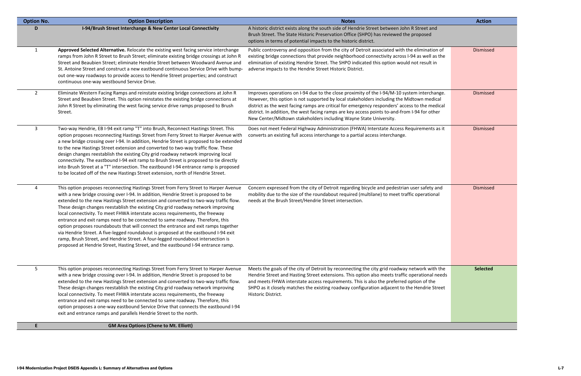| <b>Option No.</b> | <b>Option Description</b>                                                                                                                                                                                                                                                                                                                                                                                                                                                                                                                                                                                                                                                                                                                                                                                                                                                       | <b>Notes</b>                                                                                                                                                                                                                                                                                                                                                                                                                                                     | <b>Action</b>   |
|-------------------|---------------------------------------------------------------------------------------------------------------------------------------------------------------------------------------------------------------------------------------------------------------------------------------------------------------------------------------------------------------------------------------------------------------------------------------------------------------------------------------------------------------------------------------------------------------------------------------------------------------------------------------------------------------------------------------------------------------------------------------------------------------------------------------------------------------------------------------------------------------------------------|------------------------------------------------------------------------------------------------------------------------------------------------------------------------------------------------------------------------------------------------------------------------------------------------------------------------------------------------------------------------------------------------------------------------------------------------------------------|-----------------|
| D                 | I-94/Brush Street Interchange & New Center Local Connectivity                                                                                                                                                                                                                                                                                                                                                                                                                                                                                                                                                                                                                                                                                                                                                                                                                   | A historic district exists along the south side of Hendrie Street between John R Street and<br>Brush Street. The State Historic Preservation Office (SHPO) has reviewed the proposed<br>options in terms of potential impacts to the historic district.                                                                                                                                                                                                          |                 |
| $\mathbf{1}$      | Approved Selected Alternative. Relocate the existing west facing service interchange<br>ramps from John R Street to Brush Street; eliminate existing bridge crossings at John R<br>Street and Beaubien Street; eliminate Hendrie Street between Woodward Avenue and<br>St. Antoine Street and construct a new eastbound continuous Service Drive with bump-<br>out one-way roadways to provide access to Hendrie Street properties; and construct<br>continuous one-way westbound Service Drive.                                                                                                                                                                                                                                                                                                                                                                                | Public controversy and opposition from the city of Detroit associated with the elimination of<br>existing bridge connections that provide neighborhood connectivity across I-94 as well as the<br>elimination of existing Hendrie Street. The SHPO indicated this option would not result in<br>adverse impacts to the Hendrie Street Historic District.                                                                                                         | Dismissed       |
| $\overline{2}$    | Eliminate Western Facing Ramps and reinstate existing bridge connections at John R<br>Street and Beaubien Street. This option reinstates the existing bridge connections at<br>John R Street by eliminating the west facing service drive ramps proposed to Brush<br>Street.                                                                                                                                                                                                                                                                                                                                                                                                                                                                                                                                                                                                    | Improves operations on I-94 due to the close proximity of the I-94/M-10 system interchange.<br>However, this option is not supported by local stakeholders including the Midtown medical<br>district as the west facing ramps are critical for emergency responders' access to the medical<br>district. In addition, the west facing ramps are key access points to-and-from I-94 for other<br>New Center/Midtown stakeholders including Wayne State University. | Dismissed       |
| 3                 | Two-way Hendrie, EB I-94 exit ramp "T" into Brush, Reconnect Hastings Street. This<br>option proposes reconnecting Hastings Street from Ferry Street to Harper Avenue with<br>a new bridge crossing over I-94. In addition, Hendrie Street is proposed to be extended<br>to the new Hastings Street extension and converted to two-way traffic flow. These<br>design changes reestablish the existing City grid roadway network improving local<br>connectivity. The eastbound I-94 exit ramp to Brush Street is proposed to tie directly<br>into Brush Street at a "T" intersection. The eastbound I-94 entrance ramp is proposed<br>to be located off of the new Hastings Street extension, north of Hendrie Street.                                                                                                                                                          | Does not meet Federal Highway Administration (FHWA) Interstate Access Requirements as it<br>converts an existing full access interchange to a partial access interchange.                                                                                                                                                                                                                                                                                        | Dismissed       |
| 4                 | This option proposes reconnecting Hastings Street from Ferry Street to Harper Avenue<br>with a new bridge crossing over I-94. In addition, Hendrie Street is proposed to be<br>extended to the new Hastings Street extension and converted to two-way traffic flow.<br>These design changes reestablish the existing City grid roadway network improving<br>local connectivity. To meet FHWA interstate access requirements, the freeway<br>entrance and exit ramps need to be connected to same roadway. Therefore, this<br>option proposes roundabouts that will connect the entrance and exit ramps together<br>via Hendrie Street. A five-legged roundabout is proposed at the eastbound I-94 exit<br>ramp, Brush Street, and Hendrie Street. A four-legged roundabout intersection is<br>proposed at Hendrie Street, Hasting Street, and the eastbound I-94 entrance ramp. | Concern expressed from the city of Detroit regarding bicycle and pedestrian user safety and<br>mobility due to the size of the roundabout required (multilane) to meet traffic operational<br>needs at the Brush Street/Hendrie Street intersection.                                                                                                                                                                                                             | Dismissed       |
| 5                 | This option proposes reconnecting Hastings Street from Ferry Street to Harper Avenue<br>with a new bridge crossing over I-94. In addition, Hendrie Street is proposed to be<br>extended to the new Hastings Street extension and converted to two-way traffic flow.<br>These design changes reestablish the existing City grid roadway network improving<br>local connectivity. To meet FHWA interstate access requirements, the freeway<br>entrance and exit ramps need to be connected to same roadway. Therefore, this<br>option proposes a one-way eastbound Service Drive that connects the eastbound I-94<br>exit and entrance ramps and parallels Hendrie Street to the north.                                                                                                                                                                                           | Meets the goals of the city of Detroit by reconnecting the city grid roadway network with the<br>Hendrie Street and Hasting Street extensions. This option also meets traffic operational needs<br>and meets FHWA interstate access requirements. This is also the preferred option of the<br>SHPO as it closely matches the existing roadway configuration adjacent to the Hendrie Street<br>Historic District.                                                 | <b>Selected</b> |
| E                 | <b>GM Area Options (Chene to Mt. Elliott)</b>                                                                                                                                                                                                                                                                                                                                                                                                                                                                                                                                                                                                                                                                                                                                                                                                                                   |                                                                                                                                                                                                                                                                                                                                                                                                                                                                  |                 |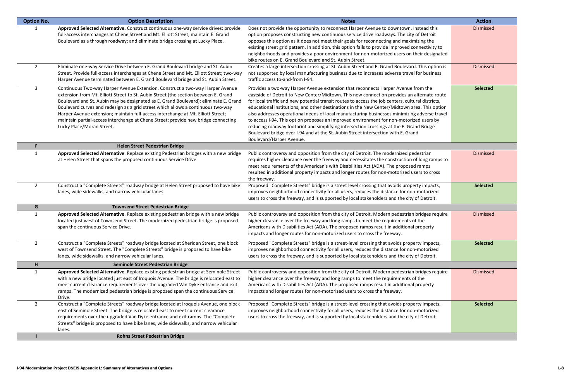| Approved Selected Alternative. Construct continuous one-way service drives; provide<br>Does not provide the opportunity to reconnect Harper Avenue to downtown. Instead this<br>Dismissed<br>full-access interchanges at Chene Street and Mt. Elliott Street; maintain E. Grand<br>option proposes constructing new continuous service drive roadways. The city of Detroit<br>Boulevard as a through roadway; and eliminate bridge crossing at Lucky Place.<br>opposes this option as it does not meet their goals for reconnecting and maximizing the<br>existing street grid pattern. In addition, this option fails to provide improved connectivity to<br>neighborhoods and provides a poor environment for non-motorized users on their designated<br>bike routes on E. Grand Boulevard and St. Aubin Street.<br>$\overline{2}$<br>Eliminate one-way Service Drive between E. Grand Boulevard bridge and St. Aubin<br>Creates a large intersection crossing at St. Aubin Street and E. Grand Boulevard. This option is<br>Dismissed<br>Street. Provide full-access interchanges at Chene Street and Mt. Elliott Street; two-way<br>not supported by local manufacturing business due to increases adverse travel for business<br>Harper Avenue terminated between E. Grand Boulevard bridge and St. Aubin Street.<br>traffic access to-and-from I-94.<br>3<br>Continuous Two-way Harper Avenue Extension. Construct a two-way Harper Avenue<br>Provides a two-way Harper Avenue extension that reconnects Harper Avenue from the<br><b>Selected</b><br>extension from Mt. Elliott Street to St. Aubin Street (the section between E. Grand<br>eastside of Detroit to New Center/Midtown. This new connection provides an alternate route<br>Boulevard and St. Aubin may be designated as E. Grand Boulevard); eliminate E. Grand<br>for local traffic and new potential transit routes to access the job centers, cultural districts,<br>Boulevard curves and redesign as a grid street which allows a continuous two-way<br>educational institutions, and other destinations in the New Center/Midtown area. This option<br>Harper Avenue extension; maintain full-access interchange at Mt. Elliott Street;<br>also addresses operational needs of local manufacturing businesses minimizing adverse travel<br>maintain partial-access interchange at Chene Street; provide new bridge connecting<br>to access I-94. This option proposes an improved environment for non-motorized users by<br>Lucky Place/Moran Street.<br>reducing roadway footprint and simplifying intersection crossings at the E. Grand Bridge<br>Boulevard bridge over I-94 and at the St. Aubin Street intersection with E. Grand<br>Boulevard/Harper Avenue.<br><b>Helen Street Pedestrian Bridge</b><br>Approved Selected Alternative. Replace existing Pedestrian bridges with a new bridge<br>Public controversy and opposition from the city of Detroit. The modernized pedestrian<br>Dismissed<br>1<br>at Helen Street that spans the proposed continuous Service Drive.<br>requires higher clearance over the freeway and necessitates the construction of long ramps to<br>meet requirements of the American's with Disabilities Act (ADA). The proposed ramps<br>resulted in additional property impacts and longer routes for non-motorized users to cross<br>the freeway.<br>Construct a "Complete Streets" roadway bridge at Helen Street proposed to have bike<br>$\overline{2}$<br>Proposed "Complete Streets" bridge is a street level crossing that avoids property impacts,<br><b>Selected</b><br>lanes, wide sidewalks, and narrow vehicular lanes.<br>improves neighborhood connectivity for all users, reduces the distance for non-motorized<br>users to cross the freeway, and is supported by local stakeholders and the city of Detroit.<br><b>Townsend Street Pedestrian Bridge</b><br>G<br>Approved Selected Alternative. Replace existing pedestrian bridge with a new bridge<br>Public controversy and opposition from the city of Detroit. Modern pedestrian bridges require<br>$\mathbf{1}$<br>Dismissed<br>higher clearance over the freeway and long ramps to meet the requirements of the<br>located just west of Townsend Street. The modernized pedestrian bridge is proposed<br>span the continuous Service Drive.<br>Americans with Disabilities Act (ADA). The proposed ramps result in additional property<br>impacts and longer routes for non-motorized users to cross the freeway.<br>Proposed "Complete Streets" bridge is a street-level crossing that avoids property impacts,<br>$\overline{2}$<br>Construct a "Complete Streets" roadway bridge located at Sheridan Street, one block<br><b>Selected</b><br>west of Townsend Street. The "Complete Streets" bridge is proposed to have bike<br>improves neighborhood connectivity for all users, reduces the distance for non-motorized<br>users to cross the freeway, and is supported by local stakeholders and the city of Detroit.<br>lanes, wide sidewalks, and narrow vehicular lanes.<br>Seminole Street Pedestrian Bridge<br>H<br>Approved Selected Alternative. Replace existing pedestrian bridge at Seminole Street<br>Public controversy and opposition from the city of Detroit. Modern pedestrian bridges require<br>Dismissed<br>1<br>with a new bridge located just east of Iroquois Avenue. The bridge is relocated east to<br>higher clearance over the freeway and long ramps to meet the requirements of the<br>meet current clearance requirements over the upgraded Van Dyke entrance and exit<br>Americans with Disabilities Act (ADA). The proposed ramps result in additional property<br>ramps. The modernized pedestrian bridge is proposed span the continuous Service<br>impacts and longer routes for non-motorized users to cross the freeway.<br>Drive.<br>Construct a "Complete Streets" roadway bridge located at Iroquois Avenue, one block<br>Proposed "Complete Streets" bridge is a street-level crossing that avoids property impacts,<br>$\overline{2}$<br><b>Selected</b><br>east of Seminole Street. The bridge is relocated east to meet current clearance<br>improves neighborhood connectivity for all users, reduces the distance for non-motorized<br>requirements over the upgraded Van Dyke entrance and exit ramps. The "Complete<br>users to cross the freeway, and is supported by local stakeholders and the city of Detroit.<br>Streets" bridge is proposed to have bike lanes, wide sidewalks, and narrow vehicular<br>lanes. | <b>Option No.</b> | <b>Option Description</b>             | <b>Notes</b> | <b>Action</b> |
|---------------------------------------------------------------------------------------------------------------------------------------------------------------------------------------------------------------------------------------------------------------------------------------------------------------------------------------------------------------------------------------------------------------------------------------------------------------------------------------------------------------------------------------------------------------------------------------------------------------------------------------------------------------------------------------------------------------------------------------------------------------------------------------------------------------------------------------------------------------------------------------------------------------------------------------------------------------------------------------------------------------------------------------------------------------------------------------------------------------------------------------------------------------------------------------------------------------------------------------------------------------------------------------------------------------------------------------------------------------------------------------------------------------------------------------------------------------------------------------------------------------------------------------------------------------------------------------------------------------------------------------------------------------------------------------------------------------------------------------------------------------------------------------------------------------------------------------------------------------------------------------------------------------------------------------------------------------------------------------------------------------------------------------------------------------------------------------------------------------------------------------------------------------------------------------------------------------------------------------------------------------------------------------------------------------------------------------------------------------------------------------------------------------------------------------------------------------------------------------------------------------------------------------------------------------------------------------------------------------------------------------------------------------------------------------------------------------------------------------------------------------------------------------------------------------------------------------------------------------------------------------------------------------------------------------------------------------------------------------------------------------------------------------------------------------------------------------------------------------------------------------------------------------------------------------------------------------------------------------------------------------------------------------------------------------------------------------------------------------------------------------------------------------------------------------------------------------------------------------------------------------------------------------------------------------------------------------------------------------------------------------------------------------------------------------------------------------------------------------------------------------------------------------------------------------------------------------------------------------------------------------------------------------------------------------------------------------------------------------------------------------------------------------------------------------------------------------------------------------------------------------------------------------------------------------------------------------------------------------------------------------------------------------------------------------------------------------------------------------------------------------------------------------------------------------------------------------------------------------------------------------------------------------------------------------------------------------------------------------------------------------------------------------------------------------------------------------------------------------------------------------------------------------------------------------------------------------------------------------------------------------------------------------------------------------------------------------------------------------------------------------------------------------------------------------------------------------------------------------------------------------------------------------------------------------------------------------------------------------------------------------------------------------------------------------------------------------------------------------------------------------------------------------------------------------------------------------------------------------------------------------------------------------------------------------------------------------------------------------------------------------------------------------------------------------------------------------------------------------------------------------------------------------------------------------------------------------------------------------------------------------------------------------------------------------------------------------------------------------------------------------------------------------------------------------------------------------------------------------------------------------------------------------------------------------------------------------------------------------------------------------------------------------------------------------------------------------------------------------------------------------------------------------------------------------------------------------------------------------------------------------------------------------------------------------------|-------------------|---------------------------------------|--------------|---------------|
|                                                                                                                                                                                                                                                                                                                                                                                                                                                                                                                                                                                                                                                                                                                                                                                                                                                                                                                                                                                                                                                                                                                                                                                                                                                                                                                                                                                                                                                                                                                                                                                                                                                                                                                                                                                                                                                                                                                                                                                                                                                                                                                                                                                                                                                                                                                                                                                                                                                                                                                                                                                                                                                                                                                                                                                                                                                                                                                                                                                                                                                                                                                                                                                                                                                                                                                                                                                                                                                                                                                                                                                                                                                                                                                                                                                                                                                                                                                                                                                                                                                                                                                                                                                                                                                                                                                                                                                                                                                                                                                                                                                                                                                                                                                                                                                                                                                                                                                                                                                                                                                                                                                                                                                                                                                                                                                                                                                                                                                                                                                                                                                                                                                                                                                                                                                                                                                                                                                                                                                                                                                                                                                                                                                                                                                                                                                                                                                                                                                                                                                                                                     |                   |                                       |              |               |
|                                                                                                                                                                                                                                                                                                                                                                                                                                                                                                                                                                                                                                                                                                                                                                                                                                                                                                                                                                                                                                                                                                                                                                                                                                                                                                                                                                                                                                                                                                                                                                                                                                                                                                                                                                                                                                                                                                                                                                                                                                                                                                                                                                                                                                                                                                                                                                                                                                                                                                                                                                                                                                                                                                                                                                                                                                                                                                                                                                                                                                                                                                                                                                                                                                                                                                                                                                                                                                                                                                                                                                                                                                                                                                                                                                                                                                                                                                                                                                                                                                                                                                                                                                                                                                                                                                                                                                                                                                                                                                                                                                                                                                                                                                                                                                                                                                                                                                                                                                                                                                                                                                                                                                                                                                                                                                                                                                                                                                                                                                                                                                                                                                                                                                                                                                                                                                                                                                                                                                                                                                                                                                                                                                                                                                                                                                                                                                                                                                                                                                                                                                     |                   |                                       |              |               |
|                                                                                                                                                                                                                                                                                                                                                                                                                                                                                                                                                                                                                                                                                                                                                                                                                                                                                                                                                                                                                                                                                                                                                                                                                                                                                                                                                                                                                                                                                                                                                                                                                                                                                                                                                                                                                                                                                                                                                                                                                                                                                                                                                                                                                                                                                                                                                                                                                                                                                                                                                                                                                                                                                                                                                                                                                                                                                                                                                                                                                                                                                                                                                                                                                                                                                                                                                                                                                                                                                                                                                                                                                                                                                                                                                                                                                                                                                                                                                                                                                                                                                                                                                                                                                                                                                                                                                                                                                                                                                                                                                                                                                                                                                                                                                                                                                                                                                                                                                                                                                                                                                                                                                                                                                                                                                                                                                                                                                                                                                                                                                                                                                                                                                                                                                                                                                                                                                                                                                                                                                                                                                                                                                                                                                                                                                                                                                                                                                                                                                                                                                                     |                   |                                       |              |               |
|                                                                                                                                                                                                                                                                                                                                                                                                                                                                                                                                                                                                                                                                                                                                                                                                                                                                                                                                                                                                                                                                                                                                                                                                                                                                                                                                                                                                                                                                                                                                                                                                                                                                                                                                                                                                                                                                                                                                                                                                                                                                                                                                                                                                                                                                                                                                                                                                                                                                                                                                                                                                                                                                                                                                                                                                                                                                                                                                                                                                                                                                                                                                                                                                                                                                                                                                                                                                                                                                                                                                                                                                                                                                                                                                                                                                                                                                                                                                                                                                                                                                                                                                                                                                                                                                                                                                                                                                                                                                                                                                                                                                                                                                                                                                                                                                                                                                                                                                                                                                                                                                                                                                                                                                                                                                                                                                                                                                                                                                                                                                                                                                                                                                                                                                                                                                                                                                                                                                                                                                                                                                                                                                                                                                                                                                                                                                                                                                                                                                                                                                                                     |                   |                                       |              |               |
|                                                                                                                                                                                                                                                                                                                                                                                                                                                                                                                                                                                                                                                                                                                                                                                                                                                                                                                                                                                                                                                                                                                                                                                                                                                                                                                                                                                                                                                                                                                                                                                                                                                                                                                                                                                                                                                                                                                                                                                                                                                                                                                                                                                                                                                                                                                                                                                                                                                                                                                                                                                                                                                                                                                                                                                                                                                                                                                                                                                                                                                                                                                                                                                                                                                                                                                                                                                                                                                                                                                                                                                                                                                                                                                                                                                                                                                                                                                                                                                                                                                                                                                                                                                                                                                                                                                                                                                                                                                                                                                                                                                                                                                                                                                                                                                                                                                                                                                                                                                                                                                                                                                                                                                                                                                                                                                                                                                                                                                                                                                                                                                                                                                                                                                                                                                                                                                                                                                                                                                                                                                                                                                                                                                                                                                                                                                                                                                                                                                                                                                                                                     |                   |                                       |              |               |
|                                                                                                                                                                                                                                                                                                                                                                                                                                                                                                                                                                                                                                                                                                                                                                                                                                                                                                                                                                                                                                                                                                                                                                                                                                                                                                                                                                                                                                                                                                                                                                                                                                                                                                                                                                                                                                                                                                                                                                                                                                                                                                                                                                                                                                                                                                                                                                                                                                                                                                                                                                                                                                                                                                                                                                                                                                                                                                                                                                                                                                                                                                                                                                                                                                                                                                                                                                                                                                                                                                                                                                                                                                                                                                                                                                                                                                                                                                                                                                                                                                                                                                                                                                                                                                                                                                                                                                                                                                                                                                                                                                                                                                                                                                                                                                                                                                                                                                                                                                                                                                                                                                                                                                                                                                                                                                                                                                                                                                                                                                                                                                                                                                                                                                                                                                                                                                                                                                                                                                                                                                                                                                                                                                                                                                                                                                                                                                                                                                                                                                                                                                     |                   |                                       |              |               |
|                                                                                                                                                                                                                                                                                                                                                                                                                                                                                                                                                                                                                                                                                                                                                                                                                                                                                                                                                                                                                                                                                                                                                                                                                                                                                                                                                                                                                                                                                                                                                                                                                                                                                                                                                                                                                                                                                                                                                                                                                                                                                                                                                                                                                                                                                                                                                                                                                                                                                                                                                                                                                                                                                                                                                                                                                                                                                                                                                                                                                                                                                                                                                                                                                                                                                                                                                                                                                                                                                                                                                                                                                                                                                                                                                                                                                                                                                                                                                                                                                                                                                                                                                                                                                                                                                                                                                                                                                                                                                                                                                                                                                                                                                                                                                                                                                                                                                                                                                                                                                                                                                                                                                                                                                                                                                                                                                                                                                                                                                                                                                                                                                                                                                                                                                                                                                                                                                                                                                                                                                                                                                                                                                                                                                                                                                                                                                                                                                                                                                                                                                                     |                   |                                       |              |               |
|                                                                                                                                                                                                                                                                                                                                                                                                                                                                                                                                                                                                                                                                                                                                                                                                                                                                                                                                                                                                                                                                                                                                                                                                                                                                                                                                                                                                                                                                                                                                                                                                                                                                                                                                                                                                                                                                                                                                                                                                                                                                                                                                                                                                                                                                                                                                                                                                                                                                                                                                                                                                                                                                                                                                                                                                                                                                                                                                                                                                                                                                                                                                                                                                                                                                                                                                                                                                                                                                                                                                                                                                                                                                                                                                                                                                                                                                                                                                                                                                                                                                                                                                                                                                                                                                                                                                                                                                                                                                                                                                                                                                                                                                                                                                                                                                                                                                                                                                                                                                                                                                                                                                                                                                                                                                                                                                                                                                                                                                                                                                                                                                                                                                                                                                                                                                                                                                                                                                                                                                                                                                                                                                                                                                                                                                                                                                                                                                                                                                                                                                                                     |                   |                                       |              |               |
|                                                                                                                                                                                                                                                                                                                                                                                                                                                                                                                                                                                                                                                                                                                                                                                                                                                                                                                                                                                                                                                                                                                                                                                                                                                                                                                                                                                                                                                                                                                                                                                                                                                                                                                                                                                                                                                                                                                                                                                                                                                                                                                                                                                                                                                                                                                                                                                                                                                                                                                                                                                                                                                                                                                                                                                                                                                                                                                                                                                                                                                                                                                                                                                                                                                                                                                                                                                                                                                                                                                                                                                                                                                                                                                                                                                                                                                                                                                                                                                                                                                                                                                                                                                                                                                                                                                                                                                                                                                                                                                                                                                                                                                                                                                                                                                                                                                                                                                                                                                                                                                                                                                                                                                                                                                                                                                                                                                                                                                                                                                                                                                                                                                                                                                                                                                                                                                                                                                                                                                                                                                                                                                                                                                                                                                                                                                                                                                                                                                                                                                                                                     |                   |                                       |              |               |
|                                                                                                                                                                                                                                                                                                                                                                                                                                                                                                                                                                                                                                                                                                                                                                                                                                                                                                                                                                                                                                                                                                                                                                                                                                                                                                                                                                                                                                                                                                                                                                                                                                                                                                                                                                                                                                                                                                                                                                                                                                                                                                                                                                                                                                                                                                                                                                                                                                                                                                                                                                                                                                                                                                                                                                                                                                                                                                                                                                                                                                                                                                                                                                                                                                                                                                                                                                                                                                                                                                                                                                                                                                                                                                                                                                                                                                                                                                                                                                                                                                                                                                                                                                                                                                                                                                                                                                                                                                                                                                                                                                                                                                                                                                                                                                                                                                                                                                                                                                                                                                                                                                                                                                                                                                                                                                                                                                                                                                                                                                                                                                                                                                                                                                                                                                                                                                                                                                                                                                                                                                                                                                                                                                                                                                                                                                                                                                                                                                                                                                                                                                     |                   |                                       |              |               |
|                                                                                                                                                                                                                                                                                                                                                                                                                                                                                                                                                                                                                                                                                                                                                                                                                                                                                                                                                                                                                                                                                                                                                                                                                                                                                                                                                                                                                                                                                                                                                                                                                                                                                                                                                                                                                                                                                                                                                                                                                                                                                                                                                                                                                                                                                                                                                                                                                                                                                                                                                                                                                                                                                                                                                                                                                                                                                                                                                                                                                                                                                                                                                                                                                                                                                                                                                                                                                                                                                                                                                                                                                                                                                                                                                                                                                                                                                                                                                                                                                                                                                                                                                                                                                                                                                                                                                                                                                                                                                                                                                                                                                                                                                                                                                                                                                                                                                                                                                                                                                                                                                                                                                                                                                                                                                                                                                                                                                                                                                                                                                                                                                                                                                                                                                                                                                                                                                                                                                                                                                                                                                                                                                                                                                                                                                                                                                                                                                                                                                                                                                                     |                   |                                       |              |               |
|                                                                                                                                                                                                                                                                                                                                                                                                                                                                                                                                                                                                                                                                                                                                                                                                                                                                                                                                                                                                                                                                                                                                                                                                                                                                                                                                                                                                                                                                                                                                                                                                                                                                                                                                                                                                                                                                                                                                                                                                                                                                                                                                                                                                                                                                                                                                                                                                                                                                                                                                                                                                                                                                                                                                                                                                                                                                                                                                                                                                                                                                                                                                                                                                                                                                                                                                                                                                                                                                                                                                                                                                                                                                                                                                                                                                                                                                                                                                                                                                                                                                                                                                                                                                                                                                                                                                                                                                                                                                                                                                                                                                                                                                                                                                                                                                                                                                                                                                                                                                                                                                                                                                                                                                                                                                                                                                                                                                                                                                                                                                                                                                                                                                                                                                                                                                                                                                                                                                                                                                                                                                                                                                                                                                                                                                                                                                                                                                                                                                                                                                                                     |                   |                                       |              |               |
|                                                                                                                                                                                                                                                                                                                                                                                                                                                                                                                                                                                                                                                                                                                                                                                                                                                                                                                                                                                                                                                                                                                                                                                                                                                                                                                                                                                                                                                                                                                                                                                                                                                                                                                                                                                                                                                                                                                                                                                                                                                                                                                                                                                                                                                                                                                                                                                                                                                                                                                                                                                                                                                                                                                                                                                                                                                                                                                                                                                                                                                                                                                                                                                                                                                                                                                                                                                                                                                                                                                                                                                                                                                                                                                                                                                                                                                                                                                                                                                                                                                                                                                                                                                                                                                                                                                                                                                                                                                                                                                                                                                                                                                                                                                                                                                                                                                                                                                                                                                                                                                                                                                                                                                                                                                                                                                                                                                                                                                                                                                                                                                                                                                                                                                                                                                                                                                                                                                                                                                                                                                                                                                                                                                                                                                                                                                                                                                                                                                                                                                                                                     |                   |                                       |              |               |
|                                                                                                                                                                                                                                                                                                                                                                                                                                                                                                                                                                                                                                                                                                                                                                                                                                                                                                                                                                                                                                                                                                                                                                                                                                                                                                                                                                                                                                                                                                                                                                                                                                                                                                                                                                                                                                                                                                                                                                                                                                                                                                                                                                                                                                                                                                                                                                                                                                                                                                                                                                                                                                                                                                                                                                                                                                                                                                                                                                                                                                                                                                                                                                                                                                                                                                                                                                                                                                                                                                                                                                                                                                                                                                                                                                                                                                                                                                                                                                                                                                                                                                                                                                                                                                                                                                                                                                                                                                                                                                                                                                                                                                                                                                                                                                                                                                                                                                                                                                                                                                                                                                                                                                                                                                                                                                                                                                                                                                                                                                                                                                                                                                                                                                                                                                                                                                                                                                                                                                                                                                                                                                                                                                                                                                                                                                                                                                                                                                                                                                                                                                     |                   |                                       |              |               |
|                                                                                                                                                                                                                                                                                                                                                                                                                                                                                                                                                                                                                                                                                                                                                                                                                                                                                                                                                                                                                                                                                                                                                                                                                                                                                                                                                                                                                                                                                                                                                                                                                                                                                                                                                                                                                                                                                                                                                                                                                                                                                                                                                                                                                                                                                                                                                                                                                                                                                                                                                                                                                                                                                                                                                                                                                                                                                                                                                                                                                                                                                                                                                                                                                                                                                                                                                                                                                                                                                                                                                                                                                                                                                                                                                                                                                                                                                                                                                                                                                                                                                                                                                                                                                                                                                                                                                                                                                                                                                                                                                                                                                                                                                                                                                                                                                                                                                                                                                                                                                                                                                                                                                                                                                                                                                                                                                                                                                                                                                                                                                                                                                                                                                                                                                                                                                                                                                                                                                                                                                                                                                                                                                                                                                                                                                                                                                                                                                                                                                                                                                                     |                   |                                       |              |               |
|                                                                                                                                                                                                                                                                                                                                                                                                                                                                                                                                                                                                                                                                                                                                                                                                                                                                                                                                                                                                                                                                                                                                                                                                                                                                                                                                                                                                                                                                                                                                                                                                                                                                                                                                                                                                                                                                                                                                                                                                                                                                                                                                                                                                                                                                                                                                                                                                                                                                                                                                                                                                                                                                                                                                                                                                                                                                                                                                                                                                                                                                                                                                                                                                                                                                                                                                                                                                                                                                                                                                                                                                                                                                                                                                                                                                                                                                                                                                                                                                                                                                                                                                                                                                                                                                                                                                                                                                                                                                                                                                                                                                                                                                                                                                                                                                                                                                                                                                                                                                                                                                                                                                                                                                                                                                                                                                                                                                                                                                                                                                                                                                                                                                                                                                                                                                                                                                                                                                                                                                                                                                                                                                                                                                                                                                                                                                                                                                                                                                                                                                                                     |                   |                                       |              |               |
|                                                                                                                                                                                                                                                                                                                                                                                                                                                                                                                                                                                                                                                                                                                                                                                                                                                                                                                                                                                                                                                                                                                                                                                                                                                                                                                                                                                                                                                                                                                                                                                                                                                                                                                                                                                                                                                                                                                                                                                                                                                                                                                                                                                                                                                                                                                                                                                                                                                                                                                                                                                                                                                                                                                                                                                                                                                                                                                                                                                                                                                                                                                                                                                                                                                                                                                                                                                                                                                                                                                                                                                                                                                                                                                                                                                                                                                                                                                                                                                                                                                                                                                                                                                                                                                                                                                                                                                                                                                                                                                                                                                                                                                                                                                                                                                                                                                                                                                                                                                                                                                                                                                                                                                                                                                                                                                                                                                                                                                                                                                                                                                                                                                                                                                                                                                                                                                                                                                                                                                                                                                                                                                                                                                                                                                                                                                                                                                                                                                                                                                                                                     |                   |                                       |              |               |
|                                                                                                                                                                                                                                                                                                                                                                                                                                                                                                                                                                                                                                                                                                                                                                                                                                                                                                                                                                                                                                                                                                                                                                                                                                                                                                                                                                                                                                                                                                                                                                                                                                                                                                                                                                                                                                                                                                                                                                                                                                                                                                                                                                                                                                                                                                                                                                                                                                                                                                                                                                                                                                                                                                                                                                                                                                                                                                                                                                                                                                                                                                                                                                                                                                                                                                                                                                                                                                                                                                                                                                                                                                                                                                                                                                                                                                                                                                                                                                                                                                                                                                                                                                                                                                                                                                                                                                                                                                                                                                                                                                                                                                                                                                                                                                                                                                                                                                                                                                                                                                                                                                                                                                                                                                                                                                                                                                                                                                                                                                                                                                                                                                                                                                                                                                                                                                                                                                                                                                                                                                                                                                                                                                                                                                                                                                                                                                                                                                                                                                                                                                     |                   |                                       |              |               |
|                                                                                                                                                                                                                                                                                                                                                                                                                                                                                                                                                                                                                                                                                                                                                                                                                                                                                                                                                                                                                                                                                                                                                                                                                                                                                                                                                                                                                                                                                                                                                                                                                                                                                                                                                                                                                                                                                                                                                                                                                                                                                                                                                                                                                                                                                                                                                                                                                                                                                                                                                                                                                                                                                                                                                                                                                                                                                                                                                                                                                                                                                                                                                                                                                                                                                                                                                                                                                                                                                                                                                                                                                                                                                                                                                                                                                                                                                                                                                                                                                                                                                                                                                                                                                                                                                                                                                                                                                                                                                                                                                                                                                                                                                                                                                                                                                                                                                                                                                                                                                                                                                                                                                                                                                                                                                                                                                                                                                                                                                                                                                                                                                                                                                                                                                                                                                                                                                                                                                                                                                                                                                                                                                                                                                                                                                                                                                                                                                                                                                                                                                                     |                   |                                       |              |               |
|                                                                                                                                                                                                                                                                                                                                                                                                                                                                                                                                                                                                                                                                                                                                                                                                                                                                                                                                                                                                                                                                                                                                                                                                                                                                                                                                                                                                                                                                                                                                                                                                                                                                                                                                                                                                                                                                                                                                                                                                                                                                                                                                                                                                                                                                                                                                                                                                                                                                                                                                                                                                                                                                                                                                                                                                                                                                                                                                                                                                                                                                                                                                                                                                                                                                                                                                                                                                                                                                                                                                                                                                                                                                                                                                                                                                                                                                                                                                                                                                                                                                                                                                                                                                                                                                                                                                                                                                                                                                                                                                                                                                                                                                                                                                                                                                                                                                                                                                                                                                                                                                                                                                                                                                                                                                                                                                                                                                                                                                                                                                                                                                                                                                                                                                                                                                                                                                                                                                                                                                                                                                                                                                                                                                                                                                                                                                                                                                                                                                                                                                                                     |                   |                                       |              |               |
|                                                                                                                                                                                                                                                                                                                                                                                                                                                                                                                                                                                                                                                                                                                                                                                                                                                                                                                                                                                                                                                                                                                                                                                                                                                                                                                                                                                                                                                                                                                                                                                                                                                                                                                                                                                                                                                                                                                                                                                                                                                                                                                                                                                                                                                                                                                                                                                                                                                                                                                                                                                                                                                                                                                                                                                                                                                                                                                                                                                                                                                                                                                                                                                                                                                                                                                                                                                                                                                                                                                                                                                                                                                                                                                                                                                                                                                                                                                                                                                                                                                                                                                                                                                                                                                                                                                                                                                                                                                                                                                                                                                                                                                                                                                                                                                                                                                                                                                                                                                                                                                                                                                                                                                                                                                                                                                                                                                                                                                                                                                                                                                                                                                                                                                                                                                                                                                                                                                                                                                                                                                                                                                                                                                                                                                                                                                                                                                                                                                                                                                                                                     |                   |                                       |              |               |
|                                                                                                                                                                                                                                                                                                                                                                                                                                                                                                                                                                                                                                                                                                                                                                                                                                                                                                                                                                                                                                                                                                                                                                                                                                                                                                                                                                                                                                                                                                                                                                                                                                                                                                                                                                                                                                                                                                                                                                                                                                                                                                                                                                                                                                                                                                                                                                                                                                                                                                                                                                                                                                                                                                                                                                                                                                                                                                                                                                                                                                                                                                                                                                                                                                                                                                                                                                                                                                                                                                                                                                                                                                                                                                                                                                                                                                                                                                                                                                                                                                                                                                                                                                                                                                                                                                                                                                                                                                                                                                                                                                                                                                                                                                                                                                                                                                                                                                                                                                                                                                                                                                                                                                                                                                                                                                                                                                                                                                                                                                                                                                                                                                                                                                                                                                                                                                                                                                                                                                                                                                                                                                                                                                                                                                                                                                                                                                                                                                                                                                                                                                     |                   |                                       |              |               |
|                                                                                                                                                                                                                                                                                                                                                                                                                                                                                                                                                                                                                                                                                                                                                                                                                                                                                                                                                                                                                                                                                                                                                                                                                                                                                                                                                                                                                                                                                                                                                                                                                                                                                                                                                                                                                                                                                                                                                                                                                                                                                                                                                                                                                                                                                                                                                                                                                                                                                                                                                                                                                                                                                                                                                                                                                                                                                                                                                                                                                                                                                                                                                                                                                                                                                                                                                                                                                                                                                                                                                                                                                                                                                                                                                                                                                                                                                                                                                                                                                                                                                                                                                                                                                                                                                                                                                                                                                                                                                                                                                                                                                                                                                                                                                                                                                                                                                                                                                                                                                                                                                                                                                                                                                                                                                                                                                                                                                                                                                                                                                                                                                                                                                                                                                                                                                                                                                                                                                                                                                                                                                                                                                                                                                                                                                                                                                                                                                                                                                                                                                                     |                   |                                       |              |               |
|                                                                                                                                                                                                                                                                                                                                                                                                                                                                                                                                                                                                                                                                                                                                                                                                                                                                                                                                                                                                                                                                                                                                                                                                                                                                                                                                                                                                                                                                                                                                                                                                                                                                                                                                                                                                                                                                                                                                                                                                                                                                                                                                                                                                                                                                                                                                                                                                                                                                                                                                                                                                                                                                                                                                                                                                                                                                                                                                                                                                                                                                                                                                                                                                                                                                                                                                                                                                                                                                                                                                                                                                                                                                                                                                                                                                                                                                                                                                                                                                                                                                                                                                                                                                                                                                                                                                                                                                                                                                                                                                                                                                                                                                                                                                                                                                                                                                                                                                                                                                                                                                                                                                                                                                                                                                                                                                                                                                                                                                                                                                                                                                                                                                                                                                                                                                                                                                                                                                                                                                                                                                                                                                                                                                                                                                                                                                                                                                                                                                                                                                                                     |                   |                                       |              |               |
|                                                                                                                                                                                                                                                                                                                                                                                                                                                                                                                                                                                                                                                                                                                                                                                                                                                                                                                                                                                                                                                                                                                                                                                                                                                                                                                                                                                                                                                                                                                                                                                                                                                                                                                                                                                                                                                                                                                                                                                                                                                                                                                                                                                                                                                                                                                                                                                                                                                                                                                                                                                                                                                                                                                                                                                                                                                                                                                                                                                                                                                                                                                                                                                                                                                                                                                                                                                                                                                                                                                                                                                                                                                                                                                                                                                                                                                                                                                                                                                                                                                                                                                                                                                                                                                                                                                                                                                                                                                                                                                                                                                                                                                                                                                                                                                                                                                                                                                                                                                                                                                                                                                                                                                                                                                                                                                                                                                                                                                                                                                                                                                                                                                                                                                                                                                                                                                                                                                                                                                                                                                                                                                                                                                                                                                                                                                                                                                                                                                                                                                                                                     |                   |                                       |              |               |
|                                                                                                                                                                                                                                                                                                                                                                                                                                                                                                                                                                                                                                                                                                                                                                                                                                                                                                                                                                                                                                                                                                                                                                                                                                                                                                                                                                                                                                                                                                                                                                                                                                                                                                                                                                                                                                                                                                                                                                                                                                                                                                                                                                                                                                                                                                                                                                                                                                                                                                                                                                                                                                                                                                                                                                                                                                                                                                                                                                                                                                                                                                                                                                                                                                                                                                                                                                                                                                                                                                                                                                                                                                                                                                                                                                                                                                                                                                                                                                                                                                                                                                                                                                                                                                                                                                                                                                                                                                                                                                                                                                                                                                                                                                                                                                                                                                                                                                                                                                                                                                                                                                                                                                                                                                                                                                                                                                                                                                                                                                                                                                                                                                                                                                                                                                                                                                                                                                                                                                                                                                                                                                                                                                                                                                                                                                                                                                                                                                                                                                                                                                     |                   |                                       |              |               |
|                                                                                                                                                                                                                                                                                                                                                                                                                                                                                                                                                                                                                                                                                                                                                                                                                                                                                                                                                                                                                                                                                                                                                                                                                                                                                                                                                                                                                                                                                                                                                                                                                                                                                                                                                                                                                                                                                                                                                                                                                                                                                                                                                                                                                                                                                                                                                                                                                                                                                                                                                                                                                                                                                                                                                                                                                                                                                                                                                                                                                                                                                                                                                                                                                                                                                                                                                                                                                                                                                                                                                                                                                                                                                                                                                                                                                                                                                                                                                                                                                                                                                                                                                                                                                                                                                                                                                                                                                                                                                                                                                                                                                                                                                                                                                                                                                                                                                                                                                                                                                                                                                                                                                                                                                                                                                                                                                                                                                                                                                                                                                                                                                                                                                                                                                                                                                                                                                                                                                                                                                                                                                                                                                                                                                                                                                                                                                                                                                                                                                                                                                                     |                   |                                       |              |               |
|                                                                                                                                                                                                                                                                                                                                                                                                                                                                                                                                                                                                                                                                                                                                                                                                                                                                                                                                                                                                                                                                                                                                                                                                                                                                                                                                                                                                                                                                                                                                                                                                                                                                                                                                                                                                                                                                                                                                                                                                                                                                                                                                                                                                                                                                                                                                                                                                                                                                                                                                                                                                                                                                                                                                                                                                                                                                                                                                                                                                                                                                                                                                                                                                                                                                                                                                                                                                                                                                                                                                                                                                                                                                                                                                                                                                                                                                                                                                                                                                                                                                                                                                                                                                                                                                                                                                                                                                                                                                                                                                                                                                                                                                                                                                                                                                                                                                                                                                                                                                                                                                                                                                                                                                                                                                                                                                                                                                                                                                                                                                                                                                                                                                                                                                                                                                                                                                                                                                                                                                                                                                                                                                                                                                                                                                                                                                                                                                                                                                                                                                                                     |                   |                                       |              |               |
|                                                                                                                                                                                                                                                                                                                                                                                                                                                                                                                                                                                                                                                                                                                                                                                                                                                                                                                                                                                                                                                                                                                                                                                                                                                                                                                                                                                                                                                                                                                                                                                                                                                                                                                                                                                                                                                                                                                                                                                                                                                                                                                                                                                                                                                                                                                                                                                                                                                                                                                                                                                                                                                                                                                                                                                                                                                                                                                                                                                                                                                                                                                                                                                                                                                                                                                                                                                                                                                                                                                                                                                                                                                                                                                                                                                                                                                                                                                                                                                                                                                                                                                                                                                                                                                                                                                                                                                                                                                                                                                                                                                                                                                                                                                                                                                                                                                                                                                                                                                                                                                                                                                                                                                                                                                                                                                                                                                                                                                                                                                                                                                                                                                                                                                                                                                                                                                                                                                                                                                                                                                                                                                                                                                                                                                                                                                                                                                                                                                                                                                                                                     |                   |                                       |              |               |
|                                                                                                                                                                                                                                                                                                                                                                                                                                                                                                                                                                                                                                                                                                                                                                                                                                                                                                                                                                                                                                                                                                                                                                                                                                                                                                                                                                                                                                                                                                                                                                                                                                                                                                                                                                                                                                                                                                                                                                                                                                                                                                                                                                                                                                                                                                                                                                                                                                                                                                                                                                                                                                                                                                                                                                                                                                                                                                                                                                                                                                                                                                                                                                                                                                                                                                                                                                                                                                                                                                                                                                                                                                                                                                                                                                                                                                                                                                                                                                                                                                                                                                                                                                                                                                                                                                                                                                                                                                                                                                                                                                                                                                                                                                                                                                                                                                                                                                                                                                                                                                                                                                                                                                                                                                                                                                                                                                                                                                                                                                                                                                                                                                                                                                                                                                                                                                                                                                                                                                                                                                                                                                                                                                                                                                                                                                                                                                                                                                                                                                                                                                     |                   |                                       |              |               |
|                                                                                                                                                                                                                                                                                                                                                                                                                                                                                                                                                                                                                                                                                                                                                                                                                                                                                                                                                                                                                                                                                                                                                                                                                                                                                                                                                                                                                                                                                                                                                                                                                                                                                                                                                                                                                                                                                                                                                                                                                                                                                                                                                                                                                                                                                                                                                                                                                                                                                                                                                                                                                                                                                                                                                                                                                                                                                                                                                                                                                                                                                                                                                                                                                                                                                                                                                                                                                                                                                                                                                                                                                                                                                                                                                                                                                                                                                                                                                                                                                                                                                                                                                                                                                                                                                                                                                                                                                                                                                                                                                                                                                                                                                                                                                                                                                                                                                                                                                                                                                                                                                                                                                                                                                                                                                                                                                                                                                                                                                                                                                                                                                                                                                                                                                                                                                                                                                                                                                                                                                                                                                                                                                                                                                                                                                                                                                                                                                                                                                                                                                                     |                   |                                       |              |               |
|                                                                                                                                                                                                                                                                                                                                                                                                                                                                                                                                                                                                                                                                                                                                                                                                                                                                                                                                                                                                                                                                                                                                                                                                                                                                                                                                                                                                                                                                                                                                                                                                                                                                                                                                                                                                                                                                                                                                                                                                                                                                                                                                                                                                                                                                                                                                                                                                                                                                                                                                                                                                                                                                                                                                                                                                                                                                                                                                                                                                                                                                                                                                                                                                                                                                                                                                                                                                                                                                                                                                                                                                                                                                                                                                                                                                                                                                                                                                                                                                                                                                                                                                                                                                                                                                                                                                                                                                                                                                                                                                                                                                                                                                                                                                                                                                                                                                                                                                                                                                                                                                                                                                                                                                                                                                                                                                                                                                                                                                                                                                                                                                                                                                                                                                                                                                                                                                                                                                                                                                                                                                                                                                                                                                                                                                                                                                                                                                                                                                                                                                                                     |                   |                                       |              |               |
|                                                                                                                                                                                                                                                                                                                                                                                                                                                                                                                                                                                                                                                                                                                                                                                                                                                                                                                                                                                                                                                                                                                                                                                                                                                                                                                                                                                                                                                                                                                                                                                                                                                                                                                                                                                                                                                                                                                                                                                                                                                                                                                                                                                                                                                                                                                                                                                                                                                                                                                                                                                                                                                                                                                                                                                                                                                                                                                                                                                                                                                                                                                                                                                                                                                                                                                                                                                                                                                                                                                                                                                                                                                                                                                                                                                                                                                                                                                                                                                                                                                                                                                                                                                                                                                                                                                                                                                                                                                                                                                                                                                                                                                                                                                                                                                                                                                                                                                                                                                                                                                                                                                                                                                                                                                                                                                                                                                                                                                                                                                                                                                                                                                                                                                                                                                                                                                                                                                                                                                                                                                                                                                                                                                                                                                                                                                                                                                                                                                                                                                                                                     |                   |                                       |              |               |
|                                                                                                                                                                                                                                                                                                                                                                                                                                                                                                                                                                                                                                                                                                                                                                                                                                                                                                                                                                                                                                                                                                                                                                                                                                                                                                                                                                                                                                                                                                                                                                                                                                                                                                                                                                                                                                                                                                                                                                                                                                                                                                                                                                                                                                                                                                                                                                                                                                                                                                                                                                                                                                                                                                                                                                                                                                                                                                                                                                                                                                                                                                                                                                                                                                                                                                                                                                                                                                                                                                                                                                                                                                                                                                                                                                                                                                                                                                                                                                                                                                                                                                                                                                                                                                                                                                                                                                                                                                                                                                                                                                                                                                                                                                                                                                                                                                                                                                                                                                                                                                                                                                                                                                                                                                                                                                                                                                                                                                                                                                                                                                                                                                                                                                                                                                                                                                                                                                                                                                                                                                                                                                                                                                                                                                                                                                                                                                                                                                                                                                                                                                     |                   |                                       |              |               |
|                                                                                                                                                                                                                                                                                                                                                                                                                                                                                                                                                                                                                                                                                                                                                                                                                                                                                                                                                                                                                                                                                                                                                                                                                                                                                                                                                                                                                                                                                                                                                                                                                                                                                                                                                                                                                                                                                                                                                                                                                                                                                                                                                                                                                                                                                                                                                                                                                                                                                                                                                                                                                                                                                                                                                                                                                                                                                                                                                                                                                                                                                                                                                                                                                                                                                                                                                                                                                                                                                                                                                                                                                                                                                                                                                                                                                                                                                                                                                                                                                                                                                                                                                                                                                                                                                                                                                                                                                                                                                                                                                                                                                                                                                                                                                                                                                                                                                                                                                                                                                                                                                                                                                                                                                                                                                                                                                                                                                                                                                                                                                                                                                                                                                                                                                                                                                                                                                                                                                                                                                                                                                                                                                                                                                                                                                                                                                                                                                                                                                                                                                                     |                   |                                       |              |               |
|                                                                                                                                                                                                                                                                                                                                                                                                                                                                                                                                                                                                                                                                                                                                                                                                                                                                                                                                                                                                                                                                                                                                                                                                                                                                                                                                                                                                                                                                                                                                                                                                                                                                                                                                                                                                                                                                                                                                                                                                                                                                                                                                                                                                                                                                                                                                                                                                                                                                                                                                                                                                                                                                                                                                                                                                                                                                                                                                                                                                                                                                                                                                                                                                                                                                                                                                                                                                                                                                                                                                                                                                                                                                                                                                                                                                                                                                                                                                                                                                                                                                                                                                                                                                                                                                                                                                                                                                                                                                                                                                                                                                                                                                                                                                                                                                                                                                                                                                                                                                                                                                                                                                                                                                                                                                                                                                                                                                                                                                                                                                                                                                                                                                                                                                                                                                                                                                                                                                                                                                                                                                                                                                                                                                                                                                                                                                                                                                                                                                                                                                                                     |                   |                                       |              |               |
|                                                                                                                                                                                                                                                                                                                                                                                                                                                                                                                                                                                                                                                                                                                                                                                                                                                                                                                                                                                                                                                                                                                                                                                                                                                                                                                                                                                                                                                                                                                                                                                                                                                                                                                                                                                                                                                                                                                                                                                                                                                                                                                                                                                                                                                                                                                                                                                                                                                                                                                                                                                                                                                                                                                                                                                                                                                                                                                                                                                                                                                                                                                                                                                                                                                                                                                                                                                                                                                                                                                                                                                                                                                                                                                                                                                                                                                                                                                                                                                                                                                                                                                                                                                                                                                                                                                                                                                                                                                                                                                                                                                                                                                                                                                                                                                                                                                                                                                                                                                                                                                                                                                                                                                                                                                                                                                                                                                                                                                                                                                                                                                                                                                                                                                                                                                                                                                                                                                                                                                                                                                                                                                                                                                                                                                                                                                                                                                                                                                                                                                                                                     |                   |                                       |              |               |
|                                                                                                                                                                                                                                                                                                                                                                                                                                                                                                                                                                                                                                                                                                                                                                                                                                                                                                                                                                                                                                                                                                                                                                                                                                                                                                                                                                                                                                                                                                                                                                                                                                                                                                                                                                                                                                                                                                                                                                                                                                                                                                                                                                                                                                                                                                                                                                                                                                                                                                                                                                                                                                                                                                                                                                                                                                                                                                                                                                                                                                                                                                                                                                                                                                                                                                                                                                                                                                                                                                                                                                                                                                                                                                                                                                                                                                                                                                                                                                                                                                                                                                                                                                                                                                                                                                                                                                                                                                                                                                                                                                                                                                                                                                                                                                                                                                                                                                                                                                                                                                                                                                                                                                                                                                                                                                                                                                                                                                                                                                                                                                                                                                                                                                                                                                                                                                                                                                                                                                                                                                                                                                                                                                                                                                                                                                                                                                                                                                                                                                                                                                     |                   |                                       |              |               |
|                                                                                                                                                                                                                                                                                                                                                                                                                                                                                                                                                                                                                                                                                                                                                                                                                                                                                                                                                                                                                                                                                                                                                                                                                                                                                                                                                                                                                                                                                                                                                                                                                                                                                                                                                                                                                                                                                                                                                                                                                                                                                                                                                                                                                                                                                                                                                                                                                                                                                                                                                                                                                                                                                                                                                                                                                                                                                                                                                                                                                                                                                                                                                                                                                                                                                                                                                                                                                                                                                                                                                                                                                                                                                                                                                                                                                                                                                                                                                                                                                                                                                                                                                                                                                                                                                                                                                                                                                                                                                                                                                                                                                                                                                                                                                                                                                                                                                                                                                                                                                                                                                                                                                                                                                                                                                                                                                                                                                                                                                                                                                                                                                                                                                                                                                                                                                                                                                                                                                                                                                                                                                                                                                                                                                                                                                                                                                                                                                                                                                                                                                                     |                   |                                       |              |               |
|                                                                                                                                                                                                                                                                                                                                                                                                                                                                                                                                                                                                                                                                                                                                                                                                                                                                                                                                                                                                                                                                                                                                                                                                                                                                                                                                                                                                                                                                                                                                                                                                                                                                                                                                                                                                                                                                                                                                                                                                                                                                                                                                                                                                                                                                                                                                                                                                                                                                                                                                                                                                                                                                                                                                                                                                                                                                                                                                                                                                                                                                                                                                                                                                                                                                                                                                                                                                                                                                                                                                                                                                                                                                                                                                                                                                                                                                                                                                                                                                                                                                                                                                                                                                                                                                                                                                                                                                                                                                                                                                                                                                                                                                                                                                                                                                                                                                                                                                                                                                                                                                                                                                                                                                                                                                                                                                                                                                                                                                                                                                                                                                                                                                                                                                                                                                                                                                                                                                                                                                                                                                                                                                                                                                                                                                                                                                                                                                                                                                                                                                                                     |                   |                                       |              |               |
|                                                                                                                                                                                                                                                                                                                                                                                                                                                                                                                                                                                                                                                                                                                                                                                                                                                                                                                                                                                                                                                                                                                                                                                                                                                                                                                                                                                                                                                                                                                                                                                                                                                                                                                                                                                                                                                                                                                                                                                                                                                                                                                                                                                                                                                                                                                                                                                                                                                                                                                                                                                                                                                                                                                                                                                                                                                                                                                                                                                                                                                                                                                                                                                                                                                                                                                                                                                                                                                                                                                                                                                                                                                                                                                                                                                                                                                                                                                                                                                                                                                                                                                                                                                                                                                                                                                                                                                                                                                                                                                                                                                                                                                                                                                                                                                                                                                                                                                                                                                                                                                                                                                                                                                                                                                                                                                                                                                                                                                                                                                                                                                                                                                                                                                                                                                                                                                                                                                                                                                                                                                                                                                                                                                                                                                                                                                                                                                                                                                                                                                                                                     |                   |                                       |              |               |
|                                                                                                                                                                                                                                                                                                                                                                                                                                                                                                                                                                                                                                                                                                                                                                                                                                                                                                                                                                                                                                                                                                                                                                                                                                                                                                                                                                                                                                                                                                                                                                                                                                                                                                                                                                                                                                                                                                                                                                                                                                                                                                                                                                                                                                                                                                                                                                                                                                                                                                                                                                                                                                                                                                                                                                                                                                                                                                                                                                                                                                                                                                                                                                                                                                                                                                                                                                                                                                                                                                                                                                                                                                                                                                                                                                                                                                                                                                                                                                                                                                                                                                                                                                                                                                                                                                                                                                                                                                                                                                                                                                                                                                                                                                                                                                                                                                                                                                                                                                                                                                                                                                                                                                                                                                                                                                                                                                                                                                                                                                                                                                                                                                                                                                                                                                                                                                                                                                                                                                                                                                                                                                                                                                                                                                                                                                                                                                                                                                                                                                                                                                     |                   |                                       |              |               |
|                                                                                                                                                                                                                                                                                                                                                                                                                                                                                                                                                                                                                                                                                                                                                                                                                                                                                                                                                                                                                                                                                                                                                                                                                                                                                                                                                                                                                                                                                                                                                                                                                                                                                                                                                                                                                                                                                                                                                                                                                                                                                                                                                                                                                                                                                                                                                                                                                                                                                                                                                                                                                                                                                                                                                                                                                                                                                                                                                                                                                                                                                                                                                                                                                                                                                                                                                                                                                                                                                                                                                                                                                                                                                                                                                                                                                                                                                                                                                                                                                                                                                                                                                                                                                                                                                                                                                                                                                                                                                                                                                                                                                                                                                                                                                                                                                                                                                                                                                                                                                                                                                                                                                                                                                                                                                                                                                                                                                                                                                                                                                                                                                                                                                                                                                                                                                                                                                                                                                                                                                                                                                                                                                                                                                                                                                                                                                                                                                                                                                                                                                                     |                   | <b>Rohns Street Pedestrian Bridge</b> |              |               |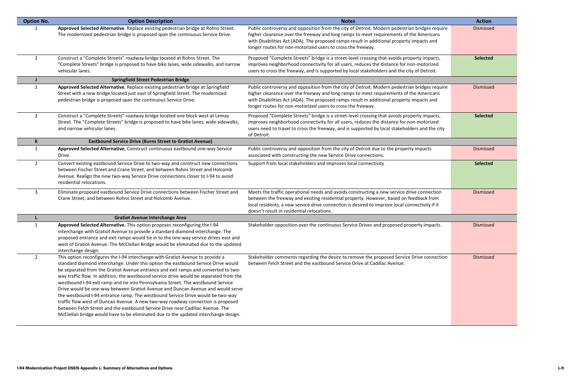| <b>Option No.</b> | <b>Option Description</b>                                                                                                                                                                                                                                                                                                                                                                                                                                                                                                                                                                                                                                                                                                                                                                                                                                                 | <b>Notes</b>                                                                                                                                                                                                                                                                                                                                        | <b>Action</b>    |
|-------------------|---------------------------------------------------------------------------------------------------------------------------------------------------------------------------------------------------------------------------------------------------------------------------------------------------------------------------------------------------------------------------------------------------------------------------------------------------------------------------------------------------------------------------------------------------------------------------------------------------------------------------------------------------------------------------------------------------------------------------------------------------------------------------------------------------------------------------------------------------------------------------|-----------------------------------------------------------------------------------------------------------------------------------------------------------------------------------------------------------------------------------------------------------------------------------------------------------------------------------------------------|------------------|
|                   | Approved Selected Alternative. Replace existing pedestrian bridge at Rohns Street.<br>The modernized pedestrian bridge is proposed span the continuous Service Drive.                                                                                                                                                                                                                                                                                                                                                                                                                                                                                                                                                                                                                                                                                                     | Public controversy and opposition from the city of Detroit. Modern pedestrian bridges require<br>higher clearance over the freeway and long ramps to meet requirements of the Americans<br>with Disabilities Act (ADA). The proposed ramps result in additional property impacts and<br>longer routes for non-motorized users to cross the freeway. | Dismissed        |
| $\overline{2}$    | Construct a "Complete Streets" roadway bridge located at Rohns Street. The<br>"Complete Streets" bridge is proposed to have bike lanes, wide sidewalks, and narrow<br>vehicular lanes.                                                                                                                                                                                                                                                                                                                                                                                                                                                                                                                                                                                                                                                                                    | Proposed "Complete Streets" bridge is a street-level crossing that avoids property impacts,<br>improves neighborhood connectivity for all users, reduces the distance for non-motorized<br>users to cross the freeway, and is supported by local stakeholders and the city of Detroit.                                                              | <b>Selected</b>  |
|                   | <b>Springfield Street Pedestrian Bridge</b>                                                                                                                                                                                                                                                                                                                                                                                                                                                                                                                                                                                                                                                                                                                                                                                                                               |                                                                                                                                                                                                                                                                                                                                                     |                  |
| $\mathbf{1}$      | Approved Selected Alternative. Replace existing pedestrian bridge at Springfield<br>Street with a new bridge located just east of Springfield Street. The modernized<br>pedestrian bridge is proposed span the continuous Service Drive.                                                                                                                                                                                                                                                                                                                                                                                                                                                                                                                                                                                                                                  | Public controversy and opposition from the city of Detroit. Modern pedestrian bridges require<br>higher clearance over the freeway and long ramps to meet requirements of the Americans<br>with Disabilities Act (ADA). The proposed ramps result in additional property impacts and<br>longer routes for non-motorized users to cross the freeway. | Dismissed        |
| $\overline{2}$    | Construct a "Complete Streets" roadway bridge located one block west at Lemay<br>Street. The "Complete Streets" bridge is proposed to have bike lanes, wide sidewalks,<br>and narrow vehicular lanes.                                                                                                                                                                                                                                                                                                                                                                                                                                                                                                                                                                                                                                                                     | Proposed "Complete Streets" bridge is a street-level crossing that avoids property impacts,<br>improves neighborhood connectivity for all users, reduces the distance for non-motorized<br>users need to travel to cross the freeway, and is supported by local stakeholders and the city<br>of Detroit.                                            | <b>Selected</b>  |
| K                 | <b>Eastbound Service Drive (Burns Street to Gratiot Avenue)</b>                                                                                                                                                                                                                                                                                                                                                                                                                                                                                                                                                                                                                                                                                                                                                                                                           |                                                                                                                                                                                                                                                                                                                                                     |                  |
| $\mathbf{1}$      | Approved Selected Alternative. Construct continuous eastbound one-way Service<br>Drive.                                                                                                                                                                                                                                                                                                                                                                                                                                                                                                                                                                                                                                                                                                                                                                                   | Public controversy and opposition from the city of Detroit due to the property impacts<br>associated with constructing the new Service Drive connections.                                                                                                                                                                                           | <b>Dismissed</b> |
| $\overline{2}$    | Convert existing eastbound Service Drive to two-way and construct new connections<br>between Fischer Street and Crane Street, and between Rohns Street and Holcomb<br>Avenue. Realign the new two-way Service Drive connections closer to I-94 to avoid<br>residential relocations.                                                                                                                                                                                                                                                                                                                                                                                                                                                                                                                                                                                       | Support from local stakeholders and improves local connectivity                                                                                                                                                                                                                                                                                     | <b>Selected</b>  |
| $\mathbf{3}$      | Eliminate proposed eastbound Service Drive connections between Fischer Street and<br>Crane Street, and between Rohns Street and Holcomb Avenue.                                                                                                                                                                                                                                                                                                                                                                                                                                                                                                                                                                                                                                                                                                                           | Meets the traffic operational needs and avoids constructing a new service drive connection<br>between the freeway and existing residential property. However, based on feedback from<br>local residents, a new service drive connection is desired to improve local connectivity if it<br>doesn't result in residential relocations.                | Dismissed        |
|                   | <b>Gratiot Avenue Interchange Area</b>                                                                                                                                                                                                                                                                                                                                                                                                                                                                                                                                                                                                                                                                                                                                                                                                                                    |                                                                                                                                                                                                                                                                                                                                                     |                  |
|                   | Approved Selected Alternative. This option proposes reconfiguring the I-94<br>interchange with Gratiot Avenue to provide a standard diamond interchange. The<br>proposed entrance and exit ramps would tie in to the one-way service drives east and<br>west of Gratiot Avenue. The McClellan Bridge would be eliminated due to the updated<br>interchange design.                                                                                                                                                                                                                                                                                                                                                                                                                                                                                                        | Stakeholder opposition over the continuous Service Drives and proposed property impacts.                                                                                                                                                                                                                                                            | <b>Dismissed</b> |
| $\mathbf{2}$      | This option reconfigures the I-94 interchange with Gratiot Avenue to provide a<br>standard diamond interchange. Under this option the eastbound Service Drive would<br>be separated from the Gratiot Avenue entrance and exit ramps and converted to two-<br>way traffic flow. In addition, the westbound service drive would be separated from the<br>westbound I-94 exit ramp and tie into Pennsylvania Street. The westbound Service<br>Drive would be one-way between Gratiot Avenue and Duncan Avenue and would serve<br>the westbound I-94 entrance ramp. The westbound Service Drive would be two-way<br>traffic flow west of Duncan Avenue. A new two-way roadway connection is proposed<br>between Felch Street and the eastbound Service Drive near Cadillac Avenue. The<br>McClellan bridge would have to be eliminated due to the updated interchange design. | Stakeholder comments regarding the desire to remove the proposed Service Drive connection<br>between Felch Street and the eastbound Service Drive at Cadillac Avenue.                                                                                                                                                                               | Dismissed        |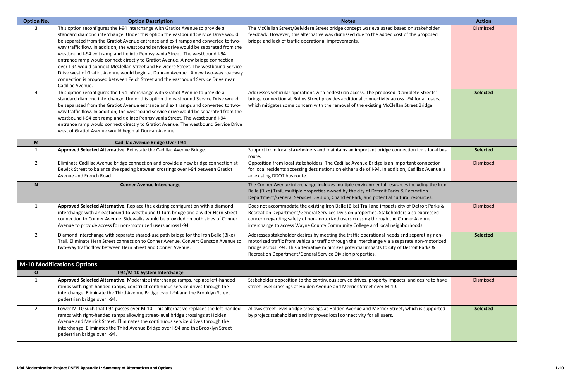| <b>Option No.</b> | <b>Option Description</b>                                                                                                                                                                                                                                                                                                                                                                                                                                                                                                                                                                                                                                                                                                                                                                                   | <b>Notes</b>                                                                                                                                                                                                                                                                                                                                                    | <b>Action</b>    |
|-------------------|-------------------------------------------------------------------------------------------------------------------------------------------------------------------------------------------------------------------------------------------------------------------------------------------------------------------------------------------------------------------------------------------------------------------------------------------------------------------------------------------------------------------------------------------------------------------------------------------------------------------------------------------------------------------------------------------------------------------------------------------------------------------------------------------------------------|-----------------------------------------------------------------------------------------------------------------------------------------------------------------------------------------------------------------------------------------------------------------------------------------------------------------------------------------------------------------|------------------|
| 3                 | This option reconfigures the I-94 interchange with Gratiot Avenue to provide a<br>standard diamond interchange. Under this option the eastbound Service Drive would<br>be separated from the Gratiot Avenue entrance and exit ramps and converted to two-<br>way traffic flow. In addition, the westbound service drive would be separated from the<br>westbound I-94 exit ramp and tie into Pennsylvania Street. The westbound I-94<br>entrance ramp would connect directly to Gratiot Avenue. A new bridge connection<br>over I-94 would connect McClellan Street and Belvidere Street. The westbound Service<br>Drive west of Gratiot Avenue would begin at Duncan Avenue. A new two-way roadway<br>connection is proposed between Felch Street and the eastbound Service Drive near<br>Cadillac Avenue. | The McClellan Street/Belvidere Street bridge concept was evaluated based on stakeholder<br>feedback. However, this alternative was dismissed due to the added cost of the proposed<br>bridge and lack of traffic operational improvements.                                                                                                                      | <b>Dismissed</b> |
| 4                 | This option reconfigures the I-94 interchange with Gratiot Avenue to provide a<br>standard diamond interchange. Under this option the eastbound Service Drive would<br>be separated from the Gratiot Avenue entrance and exit ramps and converted to two-<br>way traffic flow. In addition, the westbound service drive would be separated from the<br>westbound I-94 exit ramp and tie into Pennsylvania Street. The westbound I-94<br>entrance ramp would connect directly to Gratiot Avenue. The westbound Service Drive<br>west of Gratiot Avenue would begin at Duncan Avenue.                                                                                                                                                                                                                         | Addresses vehicular operations with pedestrian access. The proposed "Complete Streets"<br>bridge connection at Rohns Street provides additional connectivity across I-94 for all users,<br>which mitigates some concern with the removal of the existing McClellan Street Bridge.                                                                               | <b>Selected</b>  |
| M                 | <b>Cadillac Avenue Bridge Over I-94</b>                                                                                                                                                                                                                                                                                                                                                                                                                                                                                                                                                                                                                                                                                                                                                                     |                                                                                                                                                                                                                                                                                                                                                                 |                  |
| 1                 | Approved Selected Alternative. Reinstate the Cadillac Avenue Bridge.                                                                                                                                                                                                                                                                                                                                                                                                                                                                                                                                                                                                                                                                                                                                        | Support from local stakeholders and maintains an important bridge connection for a local bus<br>route.                                                                                                                                                                                                                                                          | <b>Selected</b>  |
| $2^{\circ}$       | Eliminate Cadillac Avenue bridge connection and provide a new bridge connection at<br>Bewick Street to balance the spacing between crossings over I-94 between Gratiot<br>Avenue and French Road.                                                                                                                                                                                                                                                                                                                                                                                                                                                                                                                                                                                                           | Opposition from local stakeholders. The Cadillac Avenue Bridge is an important connection<br>for local residents accessing destinations on either side of I-94. In addition, Cadillac Avenue is<br>an existing DDOT bus route.                                                                                                                                  | <b>Dismissed</b> |
| N                 | <b>Conner Avenue Interchange</b>                                                                                                                                                                                                                                                                                                                                                                                                                                                                                                                                                                                                                                                                                                                                                                            | The Conner Avenue interchange includes multiple environmental resources including the Iron<br>Belle (Bike) Trail, multiple properties owned by the city of Detroit Parks & Recreation<br>Department/General Services Division, Chandler Park, and potential cultural resources.                                                                                 |                  |
| 1                 | Approved Selected Alternative. Replace the existing configuration with a diamond<br>interchange with an eastbound-to-westbound U-turn bridge and a wider Hern Street<br>connection to Conner Avenue. Sidewalks would be provided on both sides of Conner<br>Avenue to provide access for non-motorized users across I-94.                                                                                                                                                                                                                                                                                                                                                                                                                                                                                   | Does not accommodate the existing Iron Belle (Bike) Trail and impacts city of Detroit Parks &<br>Recreation Department/General Services Division properties. Stakeholders also expressed<br>concern regarding safety of non-motorized users crossing through the Conner Avenue<br>interchange to access Wayne County Community College and local neighborhoods. | <b>Dismissed</b> |
| $\overline{2}$    | Diamond Interchange with separate shared-use path bridge for the Iron Belle (Bike)<br>Trail. Eliminate Hern Street connection to Conner Avenue. Convert Gunston Avenue to<br>two-way traffic flow between Hern Street and Conner Avenue.                                                                                                                                                                                                                                                                                                                                                                                                                                                                                                                                                                    | Addresses stakeholder desires by meeting the traffic operational needs and separating non-<br>motorized traffic from vehicular traffic through the interchange via a separate non-motorized<br>bridge across I-94. This alternative minimizes potential impacts to city of Detroit Parks &<br>Recreation Department/General Service Division properties.        | <b>Selected</b>  |
|                   | <b>M-10 Modifications Options</b>                                                                                                                                                                                                                                                                                                                                                                                                                                                                                                                                                                                                                                                                                                                                                                           |                                                                                                                                                                                                                                                                                                                                                                 |                  |
| O                 | I-94/M-10 System Interchange                                                                                                                                                                                                                                                                                                                                                                                                                                                                                                                                                                                                                                                                                                                                                                                |                                                                                                                                                                                                                                                                                                                                                                 |                  |
| 1                 | Approved Selected Alternative. Modernize interchange ramps, replace left-handed<br>ramps with right-handed ramps, construct continuous service drives through the<br>interchange. Eliminate the Third Avenue Bridge over I-94 and the Brooklyn Street<br>pedestrian bridge over I-94.                                                                                                                                                                                                                                                                                                                                                                                                                                                                                                                       | Stakeholder opposition to the continuous service drives, property impacts, and desire to have<br>street-level crossings at Holden Avenue and Merrick Street over M-10.                                                                                                                                                                                          | <b>Dismissed</b> |
| $\overline{2}$    | Lower M-10 such that I-94 passes over M-10. This alternative replaces the left-handed<br>ramps with right-handed ramps allowing street-level bridge crossings at Holden<br>Avenue and Merrick Street. Eliminates the continuous service drives through the<br>interchange. Eliminates the Third Avenue Bridge over I-94 and the Brooklyn Street<br>pedestrian bridge over I-94.                                                                                                                                                                                                                                                                                                                                                                                                                             | Allows street-level bridge crossings at Holden Avenue and Merrick Street, which is supported<br>by project stakeholders and improves local connectivity for all users.                                                                                                                                                                                          | <b>Selected</b>  |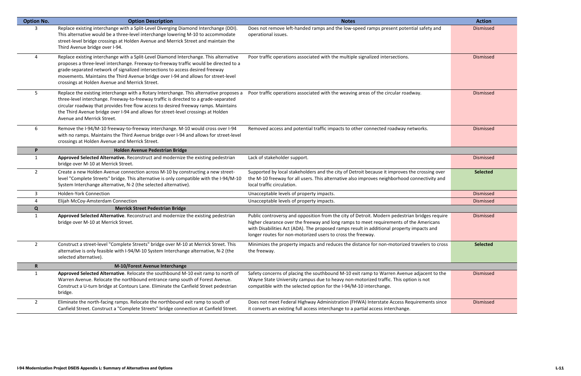| <b>Option No.</b> | <b>Option Description</b>                                                                                                                                                                                                                                                                                                                                                                               | <b>Notes</b>                                                                                                                                                                                                                                                                                                                                        | <b>Action</b>    |
|-------------------|---------------------------------------------------------------------------------------------------------------------------------------------------------------------------------------------------------------------------------------------------------------------------------------------------------------------------------------------------------------------------------------------------------|-----------------------------------------------------------------------------------------------------------------------------------------------------------------------------------------------------------------------------------------------------------------------------------------------------------------------------------------------------|------------------|
| 3                 | Replace existing interchange with a Split-Level Diverging Diamond Interchange (DDI).<br>This alternative would be a three-level interchange lowering M-10 to accommodate<br>street-level bridge crossings at Holden Avenue and Merrick Street and maintain the<br>Third Avenue bridge over I-94.                                                                                                        | Does not remove left-handed ramps and the low-speed ramps present potential safety and<br>operational issues.                                                                                                                                                                                                                                       | Dismissed        |
| 4                 | Replace existing interchange with a Split-Level Diamond Interchange. This alternative<br>proposes a three-level interchange. Freeway-to-freeway traffic would be directed to a<br>grade-separated network of signalized intersections to access desired freeway<br>movements. Maintains the Third Avenue bridge over I-94 and allows for street-level<br>crossings at Holden Avenue and Merrick Street. | Poor traffic operations associated with the multiple signalized intersections.                                                                                                                                                                                                                                                                      | Dismissed        |
| 5                 | Replace the existing interchange with a Rotary Interchange. This alternative proposes a<br>three-level interchange. Freeway-to-freeway traffic is directed to a grade-separated<br>circular roadway that provides free flow access to desired freeway ramps. Maintains<br>the Third Avenue bridge over I-94 and allows for street-level crossings at Holden<br>Avenue and Merrick Street.               | Poor traffic operations associated with the weaving areas of the circular roadway.                                                                                                                                                                                                                                                                  | Dismissed        |
| 6                 | Remove the I-94/M-10 freeway-to-freeway interchange. M-10 would cross over I-94<br>with no ramps. Maintains the Third Avenue bridge over I-94 and allows for street-level<br>crossings at Holden Avenue and Merrick Street.                                                                                                                                                                             | Removed access and potential traffic impacts to other connected roadway networks.                                                                                                                                                                                                                                                                   | <b>Dismissed</b> |
| P                 | Holden Avenue Pedestrian Bridge                                                                                                                                                                                                                                                                                                                                                                         |                                                                                                                                                                                                                                                                                                                                                     |                  |
|                   | Approved Selected Alternative. Reconstruct and modernize the existing pedestrian<br>bridge over M-10 at Merrick Street.                                                                                                                                                                                                                                                                                 | Lack of stakeholder support.                                                                                                                                                                                                                                                                                                                        | Dismissed        |
| $\overline{2}$    | Create a new Holden Avenue connection across M-10 by constructing a new street-<br>level "Complete Streets" bridge. This alternative is only compatible with the I-94/M-10<br>System Interchange alternative, N-2 (the selected alternative).                                                                                                                                                           | Supported by local stakeholders and the city of Detroit because it improves the crossing over<br>the M-10 freeway for all users. This alternative also improves neighborhood connectivity and<br>local traffic circulation.                                                                                                                         | <b>Selected</b>  |
| 3                 | <b>Holden-York Connection</b>                                                                                                                                                                                                                                                                                                                                                                           | Unacceptable levels of property impacts.                                                                                                                                                                                                                                                                                                            | <b>Dismissed</b> |
| 4                 | Elijah McCoy-Amsterdam Connection                                                                                                                                                                                                                                                                                                                                                                       | Unacceptable levels of property impacts.                                                                                                                                                                                                                                                                                                            | Dismissed        |
| Q                 | <b>Merrick Street Pedestrian Bridge</b>                                                                                                                                                                                                                                                                                                                                                                 |                                                                                                                                                                                                                                                                                                                                                     |                  |
| 1                 | Approved Selected Alternative. Reconstruct and modernize the existing pedestrian<br>bridge over M-10 at Merrick Street.                                                                                                                                                                                                                                                                                 | Public controversy and opposition from the city of Detroit. Modern pedestrian bridges require<br>higher clearance over the freeway and long ramps to meet requirements of the Americans<br>with Disabilities Act (ADA). The proposed ramps result in additional property impacts and<br>longer routes for non-motorized users to cross the freeway. | Dismissed        |
| $\overline{2}$    | Construct a street-level "Complete Streets" bridge over M-10 at Merrick Street. This<br>alternative is only feasible with I-94/M-10 System Interchange alternative, N-2 (the<br>selected alternative).                                                                                                                                                                                                  | Minimizes the property impacts and reduces the distance for non-motorized travelers to cross<br>the freeway.                                                                                                                                                                                                                                        | <b>Selected</b>  |
| R.                | M-10/Forest Avenue Interchange                                                                                                                                                                                                                                                                                                                                                                          |                                                                                                                                                                                                                                                                                                                                                     |                  |
| 1                 | Approved Selected Alternative. Relocate the southbound M-10 exit ramp to north of<br>Warren Avenue. Relocate the northbound entrance ramp south of Forest Avenue.<br>Construct a U-turn bridge at Contours Lane. Eliminate the Canfield Street pedestrian<br>bridge.                                                                                                                                    | Safety concerns of placing the southbound M-10 exit ramp to Warren Avenue adjacent to the<br>Wayne State University campus due to heavy non-motorized traffic. This option is not<br>compatible with the selected option for the I-94/M-10 interchange.                                                                                             | Dismissed        |
| $\overline{2}$    | Eliminate the north-facing ramps. Relocate the northbound exit ramp to south of<br>Canfield Street. Construct a "Complete Streets" bridge connection at Canfield Street.                                                                                                                                                                                                                                | Does not meet Federal Highway Administration (FHWA) Interstate Access Requirements since<br>it converts an existing full access interchange to a partial access interchange.                                                                                                                                                                        | Dismissed        |